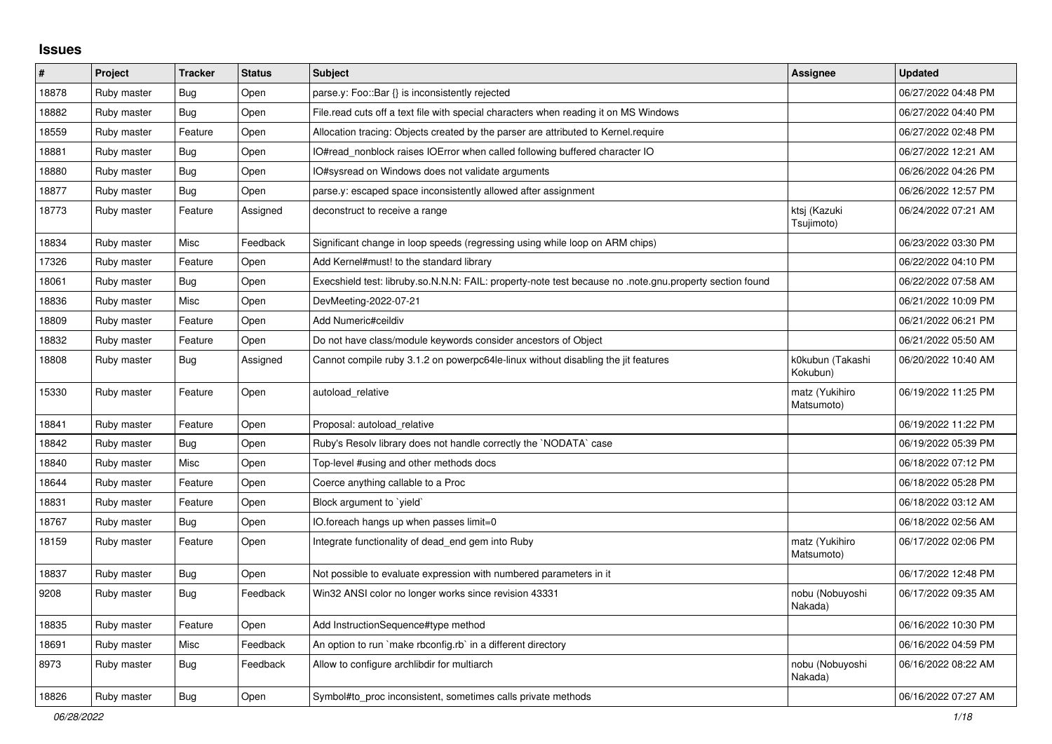## **Issues**

| $\pmb{\#}$ | Project     | <b>Tracker</b> | <b>Status</b> | <b>Subject</b>                                                                                          | Assignee                     | <b>Updated</b>      |
|------------|-------------|----------------|---------------|---------------------------------------------------------------------------------------------------------|------------------------------|---------------------|
| 18878      | Ruby master | Bug            | Open          | parse.y: Foo::Bar {} is inconsistently rejected                                                         |                              | 06/27/2022 04:48 PM |
| 18882      | Ruby master | <b>Bug</b>     | Open          | File.read cuts off a text file with special characters when reading it on MS Windows                    |                              | 06/27/2022 04:40 PM |
| 18559      | Ruby master | Feature        | Open          | Allocation tracing: Objects created by the parser are attributed to Kernel.require                      |                              | 06/27/2022 02:48 PM |
| 18881      | Ruby master | <b>Bug</b>     | Open          | IO#read_nonblock raises IOError when called following buffered character IO                             |                              | 06/27/2022 12:21 AM |
| 18880      | Ruby master | <b>Bug</b>     | Open          | IO#sysread on Windows does not validate arguments                                                       |                              | 06/26/2022 04:26 PM |
| 18877      | Ruby master | Bug            | Open          | parse.y: escaped space inconsistently allowed after assignment                                          |                              | 06/26/2022 12:57 PM |
| 18773      | Ruby master | Feature        | Assigned      | deconstruct to receive a range                                                                          | ktsj (Kazuki<br>Tsujimoto)   | 06/24/2022 07:21 AM |
| 18834      | Ruby master | Misc           | Feedback      | Significant change in loop speeds (regressing using while loop on ARM chips)                            |                              | 06/23/2022 03:30 PM |
| 17326      | Ruby master | Feature        | Open          | Add Kernel#must! to the standard library                                                                |                              | 06/22/2022 04:10 PM |
| 18061      | Ruby master | <b>Bug</b>     | Open          | Execshield test: libruby.so.N.N.N: FAIL: property-note test because no .note.gnu.property section found |                              | 06/22/2022 07:58 AM |
| 18836      | Ruby master | Misc           | Open          | DevMeeting-2022-07-21                                                                                   |                              | 06/21/2022 10:09 PM |
| 18809      | Ruby master | Feature        | Open          | Add Numeric#ceildiv                                                                                     |                              | 06/21/2022 06:21 PM |
| 18832      | Ruby master | Feature        | Open          | Do not have class/module keywords consider ancestors of Object                                          |                              | 06/21/2022 05:50 AM |
| 18808      | Ruby master | <b>Bug</b>     | Assigned      | Cannot compile ruby 3.1.2 on powerpc64le-linux without disabling the jit features                       | k0kubun (Takashi<br>Kokubun) | 06/20/2022 10:40 AM |
| 15330      | Ruby master | Feature        | Open          | autoload relative                                                                                       | matz (Yukihiro<br>Matsumoto) | 06/19/2022 11:25 PM |
| 18841      | Ruby master | Feature        | Open          | Proposal: autoload relative                                                                             |                              | 06/19/2022 11:22 PM |
| 18842      | Ruby master | Bug            | Open          | Ruby's Resolv library does not handle correctly the `NODATA` case                                       |                              | 06/19/2022 05:39 PM |
| 18840      | Ruby master | Misc           | Open          | Top-level #using and other methods docs                                                                 |                              | 06/18/2022 07:12 PM |
| 18644      | Ruby master | Feature        | Open          | Coerce anything callable to a Proc                                                                      |                              | 06/18/2022 05:28 PM |
| 18831      | Ruby master | Feature        | Open          | Block argument to 'yield'                                                                               |                              | 06/18/2022 03:12 AM |
| 18767      | Ruby master | Bug            | Open          | IO.foreach hangs up when passes limit=0                                                                 |                              | 06/18/2022 02:56 AM |
| 18159      | Ruby master | Feature        | Open          | Integrate functionality of dead end gem into Ruby                                                       | matz (Yukihiro<br>Matsumoto) | 06/17/2022 02:06 PM |
| 18837      | Ruby master | <b>Bug</b>     | Open          | Not possible to evaluate expression with numbered parameters in it                                      |                              | 06/17/2022 12:48 PM |
| 9208       | Ruby master | <b>Bug</b>     | Feedback      | Win32 ANSI color no longer works since revision 43331                                                   | nobu (Nobuyoshi<br>Nakada)   | 06/17/2022 09:35 AM |
| 18835      | Ruby master | Feature        | Open          | Add InstructionSequence#type method                                                                     |                              | 06/16/2022 10:30 PM |
| 18691      | Ruby master | Misc           | Feedback      | An option to run `make rbconfig.rb` in a different directory                                            |                              | 06/16/2022 04:59 PM |
| 8973       | Ruby master | <b>Bug</b>     | Feedback      | Allow to configure archlibdir for multiarch                                                             | nobu (Nobuyoshi<br>Nakada)   | 06/16/2022 08:22 AM |
| 18826      | Ruby master | Bug            | Open          | Symbol#to proc inconsistent, sometimes calls private methods                                            |                              | 06/16/2022 07:27 AM |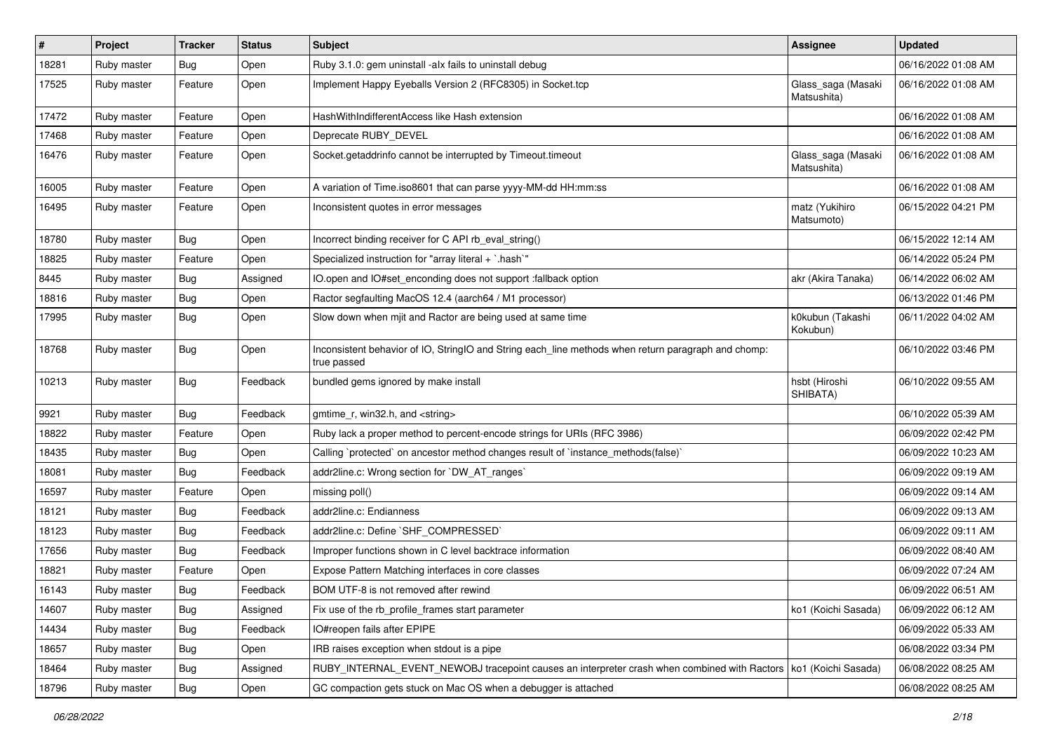| $\vert$ # | Project     | <b>Tracker</b> | <b>Status</b> | Subject                                                                                                            | Assignee                          | <b>Updated</b>      |
|-----------|-------------|----------------|---------------|--------------------------------------------------------------------------------------------------------------------|-----------------------------------|---------------------|
| 18281     | Ruby master | <b>Bug</b>     | Open          | Ruby 3.1.0: gem uninstall -alx fails to uninstall debug                                                            |                                   | 06/16/2022 01:08 AM |
| 17525     | Ruby master | Feature        | Open          | Implement Happy Eyeballs Version 2 (RFC8305) in Socket.tcp                                                         | Glass_saga (Masaki<br>Matsushita) | 06/16/2022 01:08 AM |
| 17472     | Ruby master | Feature        | Open          | HashWithIndifferentAccess like Hash extension                                                                      |                                   | 06/16/2022 01:08 AM |
| 17468     | Ruby master | Feature        | Open          | Deprecate RUBY_DEVEL                                                                                               |                                   | 06/16/2022 01:08 AM |
| 16476     | Ruby master | Feature        | Open          | Socket.getaddrinfo cannot be interrupted by Timeout.timeout                                                        | Glass_saga (Masaki<br>Matsushita) | 06/16/2022 01:08 AM |
| 16005     | Ruby master | Feature        | Open          | A variation of Time.iso8601 that can parse yyyy-MM-dd HH:mm:ss                                                     |                                   | 06/16/2022 01:08 AM |
| 16495     | Ruby master | Feature        | Open          | Inconsistent quotes in error messages                                                                              | matz (Yukihiro<br>Matsumoto)      | 06/15/2022 04:21 PM |
| 18780     | Ruby master | <b>Bug</b>     | Open          | Incorrect binding receiver for C API rb eval string()                                                              |                                   | 06/15/2022 12:14 AM |
| 18825     | Ruby master | Feature        | Open          | Specialized instruction for "array literal + `.hash`"                                                              |                                   | 06/14/2022 05:24 PM |
| 8445      | Ruby master | <b>Bug</b>     | Assigned      | IO.open and IO#set_enconding does not support :fallback option                                                     | akr (Akira Tanaka)                | 06/14/2022 06:02 AM |
| 18816     | Ruby master | <b>Bug</b>     | Open          | Ractor segfaulting MacOS 12.4 (aarch64 / M1 processor)                                                             |                                   | 06/13/2022 01:46 PM |
| 17995     | Ruby master | <b>Bug</b>     | Open          | Slow down when mjit and Ractor are being used at same time                                                         | k0kubun (Takashi<br>Kokubun)      | 06/11/2022 04:02 AM |
| 18768     | Ruby master | Bug            | Open          | Inconsistent behavior of IO, StringIO and String each_line methods when return paragraph and chomp:<br>true passed |                                   | 06/10/2022 03:46 PM |
| 10213     | Ruby master | Bug            | Feedback      | bundled gems ignored by make install                                                                               | hsbt (Hiroshi<br>SHIBATA)         | 06/10/2022 09:55 AM |
| 9921      | Ruby master | Bug            | Feedback      | gmtime_r, win32.h, and <string></string>                                                                           |                                   | 06/10/2022 05:39 AM |
| 18822     | Ruby master | Feature        | Open          | Ruby lack a proper method to percent-encode strings for URIs (RFC 3986)                                            |                                   | 06/09/2022 02:42 PM |
| 18435     | Ruby master | <b>Bug</b>     | Open          | Calling `protected` on ancestor method changes result of `instance_methods(false)`                                 |                                   | 06/09/2022 10:23 AM |
| 18081     | Ruby master | Bug            | Feedback      | addr2line.c: Wrong section for `DW_AT_ranges`                                                                      |                                   | 06/09/2022 09:19 AM |
| 16597     | Ruby master | Feature        | Open          | missing poll()                                                                                                     |                                   | 06/09/2022 09:14 AM |
| 18121     | Ruby master | Bug            | Feedback      | addr2line.c: Endianness                                                                                            |                                   | 06/09/2022 09:13 AM |
| 18123     | Ruby master | <b>Bug</b>     | Feedback      | addr2line.c: Define `SHF COMPRESSED`                                                                               |                                   | 06/09/2022 09:11 AM |
| 17656     | Ruby master | Bug            | Feedback      | Improper functions shown in C level backtrace information                                                          |                                   | 06/09/2022 08:40 AM |
| 18821     | Ruby master | Feature        | Open          | Expose Pattern Matching interfaces in core classes                                                                 |                                   | 06/09/2022 07:24 AM |
| 16143     | Ruby master | <b>Bug</b>     | Feedback      | BOM UTF-8 is not removed after rewind                                                                              |                                   | 06/09/2022 06:51 AM |
| 14607     | Ruby master | Bug            | Assigned      | Fix use of the rb_profile_frames start parameter                                                                   | ko1 (Koichi Sasada)               | 06/09/2022 06:12 AM |
| 14434     | Ruby master | <b>Bug</b>     | Feedback      | IO#reopen fails after EPIPE                                                                                        |                                   | 06/09/2022 05:33 AM |
| 18657     | Ruby master | <b>Bug</b>     | Open          | IRB raises exception when stdout is a pipe                                                                         |                                   | 06/08/2022 03:34 PM |
| 18464     | Ruby master | <b>Bug</b>     | Assigned      | RUBY_INTERNAL_EVENT_NEWOBJ tracepoint causes an interpreter crash when combined with Ractors                       | ko1 (Koichi Sasada)               | 06/08/2022 08:25 AM |
| 18796     | Ruby master | <b>Bug</b>     | Open          | GC compaction gets stuck on Mac OS when a debugger is attached                                                     |                                   | 06/08/2022 08:25 AM |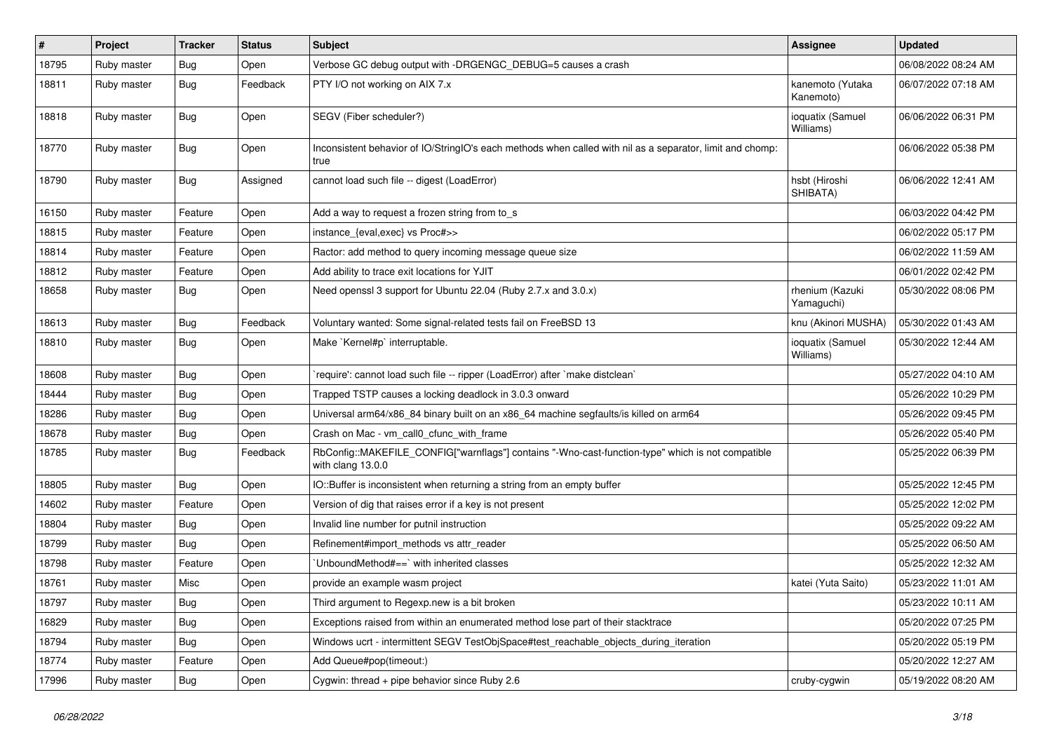| #     | Project     | <b>Tracker</b> | <b>Status</b> | <b>Subject</b>                                                                                                         | <b>Assignee</b>               | <b>Updated</b>      |
|-------|-------------|----------------|---------------|------------------------------------------------------------------------------------------------------------------------|-------------------------------|---------------------|
| 18795 | Ruby master | Bug            | Open          | Verbose GC debug output with -DRGENGC_DEBUG=5 causes a crash                                                           |                               | 06/08/2022 08:24 AM |
| 18811 | Ruby master | <b>Bug</b>     | Feedback      | PTY I/O not working on AIX 7.x                                                                                         | kanemoto (Yutaka<br>Kanemoto) | 06/07/2022 07:18 AM |
| 18818 | Ruby master | <b>Bug</b>     | Open          | SEGV (Fiber scheduler?)                                                                                                | ioquatix (Samuel<br>Williams) | 06/06/2022 06:31 PM |
| 18770 | Ruby master | <b>Bug</b>     | Open          | Inconsistent behavior of IO/StringIO's each methods when called with nil as a separator, limit and chomp:<br>true      |                               | 06/06/2022 05:38 PM |
| 18790 | Ruby master | <b>Bug</b>     | Assigned      | cannot load such file -- digest (LoadError)                                                                            | hsbt (Hiroshi<br>SHIBATA)     | 06/06/2022 12:41 AM |
| 16150 | Ruby master | Feature        | Open          | Add a way to request a frozen string from to_s                                                                         |                               | 06/03/2022 04:42 PM |
| 18815 | Ruby master | Feature        | Open          | instance_{eval,exec} vs Proc#>>                                                                                        |                               | 06/02/2022 05:17 PM |
| 18814 | Ruby master | Feature        | Open          | Ractor: add method to query incoming message queue size                                                                |                               | 06/02/2022 11:59 AM |
| 18812 | Ruby master | Feature        | Open          | Add ability to trace exit locations for YJIT                                                                           |                               | 06/01/2022 02:42 PM |
| 18658 | Ruby master | Bug            | Open          | Need openssl 3 support for Ubuntu 22.04 (Ruby 2.7.x and 3.0.x)                                                         | rhenium (Kazuki<br>Yamaguchi) | 05/30/2022 08:06 PM |
| 18613 | Ruby master | <b>Bug</b>     | Feedback      | Voluntary wanted: Some signal-related tests fail on FreeBSD 13                                                         | knu (Akinori MUSHA)           | 05/30/2022 01:43 AM |
| 18810 | Ruby master | Bug            | Open          | Make `Kernel#p` interruptable.                                                                                         | ioquatix (Samuel<br>Williams) | 05/30/2022 12:44 AM |
| 18608 | Ruby master | <b>Bug</b>     | Open          | 'require': cannot load such file -- ripper (LoadError) after 'make distclean'                                          |                               | 05/27/2022 04:10 AM |
| 18444 | Ruby master | <b>Bug</b>     | Open          | Trapped TSTP causes a locking deadlock in 3.0.3 onward                                                                 |                               | 05/26/2022 10:29 PM |
| 18286 | Ruby master | Bug            | Open          | Universal arm64/x86_84 binary built on an x86_64 machine segfaults/is killed on arm64                                  |                               | 05/26/2022 09:45 PM |
| 18678 | Ruby master | <b>Bug</b>     | Open          | Crash on Mac - vm_call0_cfunc_with_frame                                                                               |                               | 05/26/2022 05:40 PM |
| 18785 | Ruby master | Bug            | Feedback      | RbConfig::MAKEFILE_CONFIG["warnflags"] contains "-Wno-cast-function-type" which is not compatible<br>with clang 13.0.0 |                               | 05/25/2022 06:39 PM |
| 18805 | Ruby master | <b>Bug</b>     | Open          | IO::Buffer is inconsistent when returning a string from an empty buffer                                                |                               | 05/25/2022 12:45 PM |
| 14602 | Ruby master | Feature        | Open          | Version of dig that raises error if a key is not present                                                               |                               | 05/25/2022 12:02 PM |
| 18804 | Ruby master | <b>Bug</b>     | Open          | Invalid line number for putnil instruction                                                                             |                               | 05/25/2022 09:22 AM |
| 18799 | Ruby master | <b>Bug</b>     | Open          | Refinement#import_methods vs attr_reader                                                                               |                               | 05/25/2022 06:50 AM |
| 18798 | Ruby master | Feature        | Open          | UnboundMethod#==`with inherited classes                                                                                |                               | 05/25/2022 12:32 AM |
| 18761 | Ruby master | Misc           | Open          | provide an example wasm project                                                                                        | katei (Yuta Saito)            | 05/23/2022 11:01 AM |
| 18797 | Ruby master | <b>Bug</b>     | Open          | Third argument to Regexp.new is a bit broken                                                                           |                               | 05/23/2022 10:11 AM |
| 16829 | Ruby master | <b>Bug</b>     | Open          | Exceptions raised from within an enumerated method lose part of their stacktrace                                       |                               | 05/20/2022 07:25 PM |
| 18794 | Ruby master | Bug            | Open          | Windows ucrt - intermittent SEGV TestObjSpace#test_reachable_objects_during_iteration                                  |                               | 05/20/2022 05:19 PM |
| 18774 | Ruby master | Feature        | Open          | Add Queue#pop(timeout:)                                                                                                |                               | 05/20/2022 12:27 AM |
| 17996 | Ruby master | <b>Bug</b>     | Open          | Cygwin: thread + pipe behavior since Ruby 2.6                                                                          | cruby-cygwin                  | 05/19/2022 08:20 AM |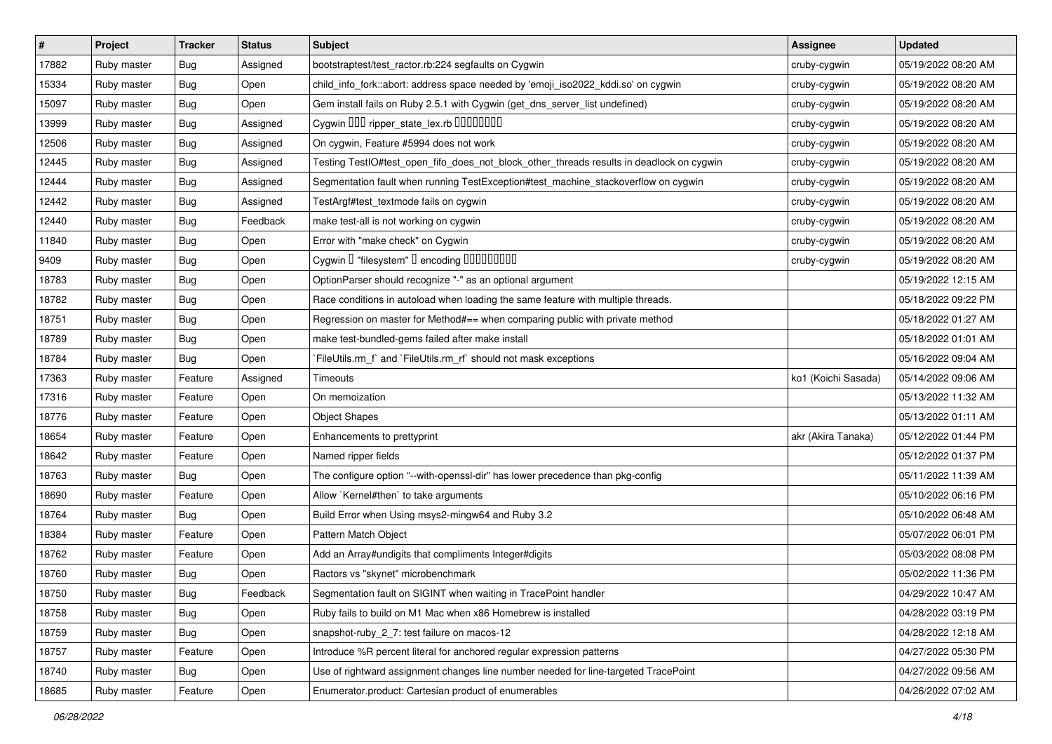| $\pmb{\#}$ | Project     | <b>Tracker</b> | <b>Status</b> | Subject                                                                                  | <b>Assignee</b>     | <b>Updated</b>      |
|------------|-------------|----------------|---------------|------------------------------------------------------------------------------------------|---------------------|---------------------|
| 17882      | Ruby master | <b>Bug</b>     | Assigned      | bootstraptest/test_ractor.rb:224 segfaults on Cygwin                                     | cruby-cygwin        | 05/19/2022 08:20 AM |
| 15334      | Ruby master | <b>Bug</b>     | Open          | child_info_fork::abort: address space needed by 'emoji_iso2022_kddi.so' on cygwin        | cruby-cygwin        | 05/19/2022 08:20 AM |
| 15097      | Ruby master | Bug            | Open          | Gem install fails on Ruby 2.5.1 with Cygwin (get_dns_server_list undefined)              | cruby-cygwin        | 05/19/2022 08:20 AM |
| 13999      | Ruby master | <b>Bug</b>     | Assigned      |                                                                                          | cruby-cygwin        | 05/19/2022 08:20 AM |
| 12506      | Ruby master | Bug            | Assigned      | On cygwin, Feature #5994 does not work                                                   | cruby-cygwin        | 05/19/2022 08:20 AM |
| 12445      | Ruby master | <b>Bug</b>     | Assigned      | Testing TestlO#test_open_fifo_does_not_block_other_threads results in deadlock on cygwin | cruby-cygwin        | 05/19/2022 08:20 AM |
| 12444      | Ruby master | Bug            | Assigned      | Segmentation fault when running TestException#test_machine_stackoverflow on cygwin       | cruby-cygwin        | 05/19/2022 08:20 AM |
| 12442      | Ruby master | <b>Bug</b>     | Assigned      | TestArgf#test_textmode fails on cygwin                                                   | cruby-cygwin        | 05/19/2022 08:20 AM |
| 12440      | Ruby master | <b>Bug</b>     | Feedback      | make test-all is not working on cygwin                                                   | cruby-cygwin        | 05/19/2022 08:20 AM |
| 11840      | Ruby master | <b>Bug</b>     | Open          | Error with "make check" on Cygwin                                                        | cruby-cygwin        | 05/19/2022 08:20 AM |
| 9409       | Ruby master | <b>Bug</b>     | Open          | Cygwin I "filesystem" I encoding IIIIIIIIIIIII                                           | cruby-cygwin        | 05/19/2022 08:20 AM |
| 18783      | Ruby master | Bug            | Open          | OptionParser should recognize "-" as an optional argument                                |                     | 05/19/2022 12:15 AM |
| 18782      | Ruby master | Bug            | Open          | Race conditions in autoload when loading the same feature with multiple threads.         |                     | 05/18/2022 09:22 PM |
| 18751      | Ruby master | <b>Bug</b>     | Open          | Regression on master for Method#== when comparing public with private method             |                     | 05/18/2022 01:27 AM |
| 18789      | Ruby master | <b>Bug</b>     | Open          | make test-bundled-gems failed after make install                                         |                     | 05/18/2022 01:01 AM |
| 18784      | Ruby master | <b>Bug</b>     | Open          | FileUtils.rm_f` and `FileUtils.rm_rf` should not mask exceptions                         |                     | 05/16/2022 09:04 AM |
| 17363      | Ruby master | Feature        | Assigned      | Timeouts                                                                                 | ko1 (Koichi Sasada) | 05/14/2022 09:06 AM |
| 17316      | Ruby master | Feature        | Open          | On memoization                                                                           |                     | 05/13/2022 11:32 AM |
| 18776      | Ruby master | Feature        | Open          | <b>Object Shapes</b>                                                                     |                     | 05/13/2022 01:11 AM |
| 18654      | Ruby master | Feature        | Open          | Enhancements to prettyprint                                                              | akr (Akira Tanaka)  | 05/12/2022 01:44 PM |
| 18642      | Ruby master | Feature        | Open          | Named ripper fields                                                                      |                     | 05/12/2022 01:37 PM |
| 18763      | Ruby master | <b>Bug</b>     | Open          | The configure option "--with-openssl-dir" has lower precedence than pkg-config           |                     | 05/11/2022 11:39 AM |
| 18690      | Ruby master | Feature        | Open          | Allow `Kernel#then` to take arguments                                                    |                     | 05/10/2022 06:16 PM |
| 18764      | Ruby master | Bug            | Open          | Build Error when Using msys2-mingw64 and Ruby 3.2                                        |                     | 05/10/2022 06:48 AM |
| 18384      | Ruby master | Feature        | Open          | Pattern Match Object                                                                     |                     | 05/07/2022 06:01 PM |
| 18762      | Ruby master | Feature        | Open          | Add an Array#undigits that compliments Integer#digits                                    |                     | 05/03/2022 08:08 PM |
| 18760      | Ruby master | <b>Bug</b>     | Open          | Ractors vs "skynet" microbenchmark                                                       |                     | 05/02/2022 11:36 PM |
| 18750      | Ruby master | <b>Bug</b>     | Feedback      | Segmentation fault on SIGINT when waiting in TracePoint handler                          |                     | 04/29/2022 10:47 AM |
| 18758      | Ruby master | Bug            | Open          | Ruby fails to build on M1 Mac when x86 Homebrew is installed                             |                     | 04/28/2022 03:19 PM |
| 18759      | Ruby master | <b>Bug</b>     | Open          | snapshot-ruby_2_7: test failure on macos-12                                              |                     | 04/28/2022 12:18 AM |
| 18757      | Ruby master | Feature        | Open          | Introduce %R percent literal for anchored regular expression patterns                    |                     | 04/27/2022 05:30 PM |
| 18740      | Ruby master | <b>Bug</b>     | Open          | Use of rightward assignment changes line number needed for line-targeted TracePoint      |                     | 04/27/2022 09:56 AM |
| 18685      | Ruby master | Feature        | Open          | Enumerator.product: Cartesian product of enumerables                                     |                     | 04/26/2022 07:02 AM |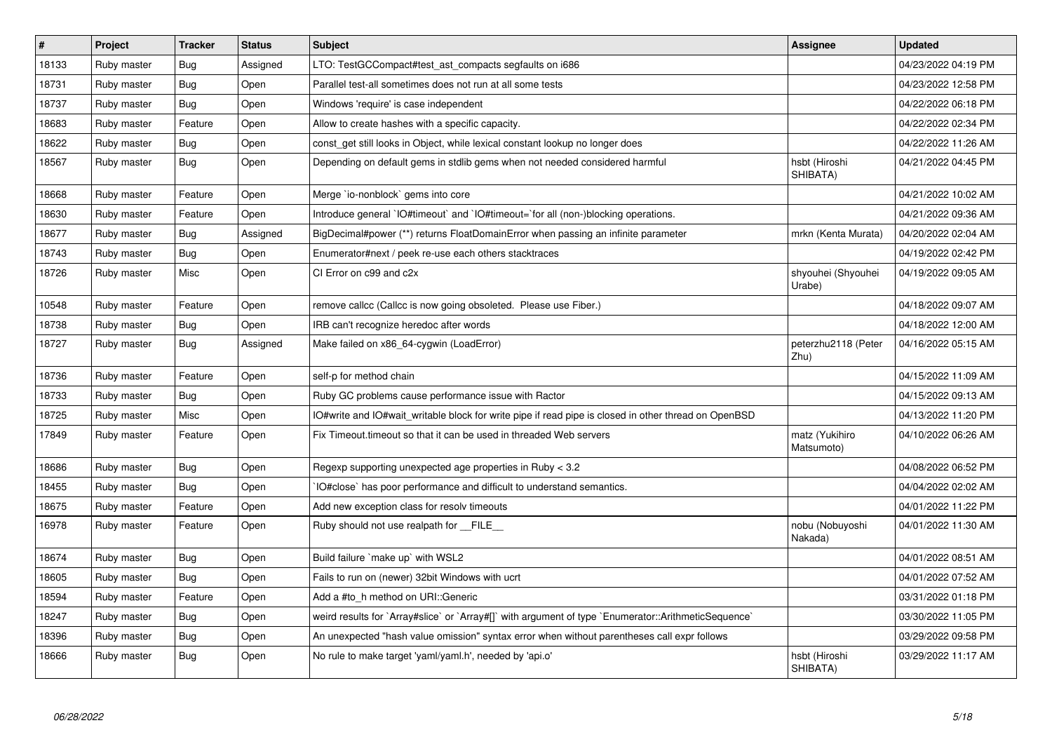| $\#$  | <b>Project</b> | <b>Tracker</b> | <b>Status</b> | <b>Subject</b>                                                                                       | Assignee                     | <b>Updated</b>      |
|-------|----------------|----------------|---------------|------------------------------------------------------------------------------------------------------|------------------------------|---------------------|
| 18133 | Ruby master    | <b>Bug</b>     | Assigned      | LTO: TestGCCompact#test ast compacts segfaults on i686                                               |                              | 04/23/2022 04:19 PM |
| 18731 | Ruby master    | <b>Bug</b>     | Open          | Parallel test-all sometimes does not run at all some tests                                           |                              | 04/23/2022 12:58 PM |
| 18737 | Ruby master    | <b>Bug</b>     | Open          | Windows 'require' is case independent                                                                |                              | 04/22/2022 06:18 PM |
| 18683 | Ruby master    | Feature        | Open          | Allow to create hashes with a specific capacity.                                                     |                              | 04/22/2022 02:34 PM |
| 18622 | Ruby master    | <b>Bug</b>     | Open          | const get still looks in Object, while lexical constant lookup no longer does                        |                              | 04/22/2022 11:26 AM |
| 18567 | Ruby master    | <b>Bug</b>     | Open          | Depending on default gems in stdlib gems when not needed considered harmful                          | hsbt (Hiroshi<br>SHIBATA)    | 04/21/2022 04:45 PM |
| 18668 | Ruby master    | Feature        | Open          | Merge `io-nonblock` gems into core                                                                   |                              | 04/21/2022 10:02 AM |
| 18630 | Ruby master    | Feature        | Open          | Introduce general `IO#timeout` and `IO#timeout=`for all (non-)blocking operations.                   |                              | 04/21/2022 09:36 AM |
| 18677 | Ruby master    | Bug            | Assigned      | BigDecimal#power (**) returns FloatDomainError when passing an infinite parameter                    | mrkn (Kenta Murata)          | 04/20/2022 02:04 AM |
| 18743 | Ruby master    | <b>Bug</b>     | Open          | Enumerator#next / peek re-use each others stacktraces                                                |                              | 04/19/2022 02:42 PM |
| 18726 | Ruby master    | Misc           | Open          | CI Error on c99 and c2x                                                                              | shyouhei (Shyouhei<br>Urabe) | 04/19/2022 09:05 AM |
| 10548 | Ruby master    | Feature        | Open          | remove callcc (Callcc is now going obsoleted. Please use Fiber.)                                     |                              | 04/18/2022 09:07 AM |
| 18738 | Ruby master    | <b>Bug</b>     | Open          | IRB can't recognize heredoc after words                                                              |                              | 04/18/2022 12:00 AM |
| 18727 | Ruby master    | Bug            | Assigned      | Make failed on x86 64-cygwin (LoadError)                                                             | peterzhu2118 (Peter<br>Zhu)  | 04/16/2022 05:15 AM |
| 18736 | Ruby master    | Feature        | Open          | self-p for method chain                                                                              |                              | 04/15/2022 11:09 AM |
| 18733 | Ruby master    | Bug            | Open          | Ruby GC problems cause performance issue with Ractor                                                 |                              | 04/15/2022 09:13 AM |
| 18725 | Ruby master    | Misc           | Open          | IO#write and IO#wait_writable block for write pipe if read pipe is closed in other thread on OpenBSD |                              | 04/13/2022 11:20 PM |
| 17849 | Ruby master    | Feature        | Open          | Fix Timeout timeout so that it can be used in threaded Web servers                                   | matz (Yukihiro<br>Matsumoto) | 04/10/2022 06:26 AM |
| 18686 | Ruby master    | Bug            | Open          | Regexp supporting unexpected age properties in Ruby < 3.2                                            |                              | 04/08/2022 06:52 PM |
| 18455 | Ruby master    | <b>Bug</b>     | Open          | IO#close` has poor performance and difficult to understand semantics.                                |                              | 04/04/2022 02:02 AM |
| 18675 | Ruby master    | Feature        | Open          | Add new exception class for resolv timeouts                                                          |                              | 04/01/2022 11:22 PM |
| 16978 | Ruby master    | Feature        | Open          | Ruby should not use realpath for FILE                                                                | nobu (Nobuyoshi<br>Nakada)   | 04/01/2022 11:30 AM |
| 18674 | Ruby master    | <b>Bug</b>     | Open          | Build failure `make up` with WSL2                                                                    |                              | 04/01/2022 08:51 AM |
| 18605 | Ruby master    | <b>Bug</b>     | Open          | Fails to run on (newer) 32bit Windows with ucrt                                                      |                              | 04/01/2022 07:52 AM |
| 18594 | Ruby master    | Feature        | Open          | Add a #to_h method on URI::Generic                                                                   |                              | 03/31/2022 01:18 PM |
| 18247 | Ruby master    | <b>Bug</b>     | Open          | weird results for `Array#slice` or `Array#[]` with argument of type `Enumerator::ArithmeticSequence` |                              | 03/30/2022 11:05 PM |
| 18396 | Ruby master    | <b>Bug</b>     | Open          | An unexpected "hash value omission" syntax error when without parentheses call expr follows          |                              | 03/29/2022 09:58 PM |
| 18666 | Ruby master    | <b>Bug</b>     | Open          | No rule to make target 'yaml/yaml.h', needed by 'api.o'                                              | hsbt (Hiroshi<br>SHIBATA)    | 03/29/2022 11:17 AM |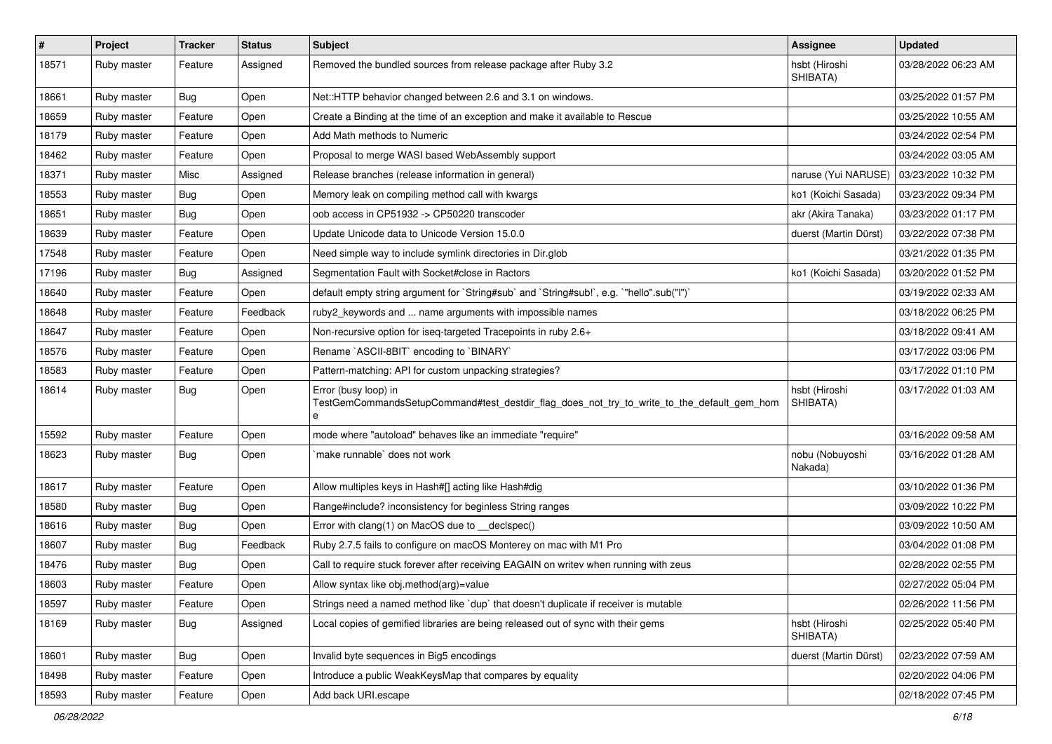| #     | Project     | <b>Tracker</b> | <b>Status</b> | Subject                                                                                                            | <b>Assignee</b>            | <b>Updated</b>      |
|-------|-------------|----------------|---------------|--------------------------------------------------------------------------------------------------------------------|----------------------------|---------------------|
| 18571 | Ruby master | Feature        | Assigned      | Removed the bundled sources from release package after Ruby 3.2                                                    | hsbt (Hiroshi<br>SHIBATA)  | 03/28/2022 06:23 AM |
| 18661 | Ruby master | Bug            | Open          | Net::HTTP behavior changed between 2.6 and 3.1 on windows.                                                         |                            | 03/25/2022 01:57 PM |
| 18659 | Ruby master | Feature        | Open          | Create a Binding at the time of an exception and make it available to Rescue                                       |                            | 03/25/2022 10:55 AM |
| 18179 | Ruby master | Feature        | Open          | Add Math methods to Numeric                                                                                        |                            | 03/24/2022 02:54 PM |
| 18462 | Ruby master | Feature        | Open          | Proposal to merge WASI based WebAssembly support                                                                   |                            | 03/24/2022 03:05 AM |
| 18371 | Ruby master | Misc           | Assigned      | Release branches (release information in general)                                                                  | naruse (Yui NARUSE)        | 03/23/2022 10:32 PM |
| 18553 | Ruby master | Bug            | Open          | Memory leak on compiling method call with kwargs                                                                   | ko1 (Koichi Sasada)        | 03/23/2022 09:34 PM |
| 18651 | Ruby master | Bug            | Open          | oob access in CP51932 -> CP50220 transcoder                                                                        | akr (Akira Tanaka)         | 03/23/2022 01:17 PM |
| 18639 | Ruby master | Feature        | Open          | Update Unicode data to Unicode Version 15.0.0                                                                      | duerst (Martin Dürst)      | 03/22/2022 07:38 PM |
| 17548 | Ruby master | Feature        | Open          | Need simple way to include symlink directories in Dir.glob                                                         |                            | 03/21/2022 01:35 PM |
| 17196 | Ruby master | <b>Bug</b>     | Assigned      | Segmentation Fault with Socket#close in Ractors                                                                    | ko1 (Koichi Sasada)        | 03/20/2022 01:52 PM |
| 18640 | Ruby master | Feature        | Open          | default empty string argument for `String#sub` and `String#sub!`, e.g. `"hello".sub("I")`                          |                            | 03/19/2022 02:33 AM |
| 18648 | Ruby master | Feature        | Feedback      | ruby2_keywords and  name arguments with impossible names                                                           |                            | 03/18/2022 06:25 PM |
| 18647 | Ruby master | Feature        | Open          | Non-recursive option for iseq-targeted Tracepoints in ruby 2.6+                                                    |                            | 03/18/2022 09:41 AM |
| 18576 | Ruby master | Feature        | Open          | Rename `ASCII-8BIT` encoding to `BINARY`                                                                           |                            | 03/17/2022 03:06 PM |
| 18583 | Ruby master | Feature        | Open          | Pattern-matching: API for custom unpacking strategies?                                                             |                            | 03/17/2022 01:10 PM |
| 18614 | Ruby master | Bug            | Open          | Error (busy loop) in<br>TestGemCommandsSetupCommand#test_destdir_flag_does_not_try_to_write_to_the_default_gem_hom | hsbt (Hiroshi<br>SHIBATA)  | 03/17/2022 01:03 AM |
| 15592 | Ruby master | Feature        | Open          | mode where "autoload" behaves like an immediate "require"                                                          |                            | 03/16/2022 09:58 AM |
| 18623 | Ruby master | Bug            | Open          | make runnable` does not work                                                                                       | nobu (Nobuyoshi<br>Nakada) | 03/16/2022 01:28 AM |
| 18617 | Ruby master | Feature        | Open          | Allow multiples keys in Hash#[] acting like Hash#dig                                                               |                            | 03/10/2022 01:36 PM |
| 18580 | Ruby master | Bug            | Open          | Range#include? inconsistency for beginless String ranges                                                           |                            | 03/09/2022 10:22 PM |
| 18616 | Ruby master | <b>Bug</b>     | Open          | Error with clang(1) on MacOS due to _declspec()                                                                    |                            | 03/09/2022 10:50 AM |
| 18607 | Ruby master | <b>Bug</b>     | Feedback      | Ruby 2.7.5 fails to configure on macOS Monterey on mac with M1 Pro                                                 |                            | 03/04/2022 01:08 PM |
| 18476 | Ruby master | <b>Bug</b>     | Open          | Call to require stuck forever after receiving EAGAIN on writev when running with zeus                              |                            | 02/28/2022 02:55 PM |
| 18603 | Ruby master | Feature        | Open          | Allow syntax like obj.method(arg)=value                                                                            |                            | 02/27/2022 05:04 PM |
| 18597 | Ruby master | Feature        | Open          | Strings need a named method like 'dup' that doesn't duplicate if receiver is mutable                               |                            | 02/26/2022 11:56 PM |
| 18169 | Ruby master | <b>Bug</b>     | Assigned      | Local copies of gemified libraries are being released out of sync with their gems                                  | hsbt (Hiroshi<br>SHIBATA)  | 02/25/2022 05:40 PM |
| 18601 | Ruby master | <b>Bug</b>     | Open          | Invalid byte sequences in Big5 encodings                                                                           | duerst (Martin Dürst)      | 02/23/2022 07:59 AM |
| 18498 | Ruby master | Feature        | Open          | Introduce a public WeakKeysMap that compares by equality                                                           |                            | 02/20/2022 04:06 PM |
| 18593 | Ruby master | Feature        | Open          | Add back URI.escape                                                                                                |                            | 02/18/2022 07:45 PM |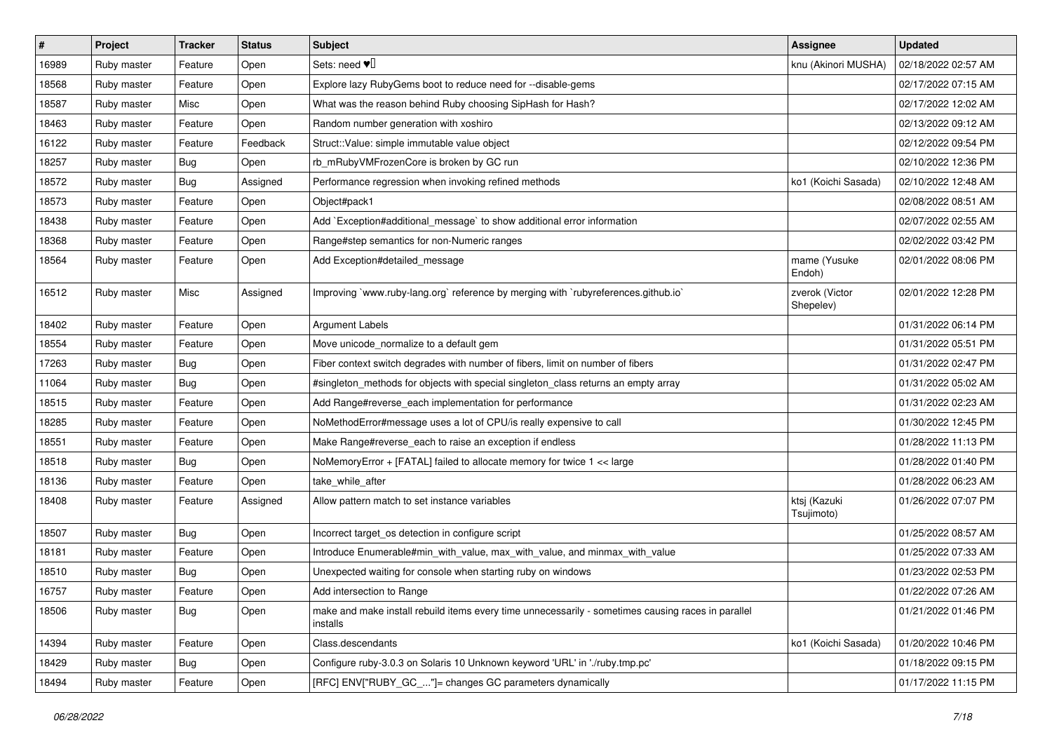| $\vert$ # | Project     | <b>Tracker</b> | <b>Status</b> | <b>Subject</b>                                                                                                 | Assignee                    | <b>Updated</b>      |
|-----------|-------------|----------------|---------------|----------------------------------------------------------------------------------------------------------------|-----------------------------|---------------------|
| 16989     | Ruby master | Feature        | Open          | Sets: need $\Psi$                                                                                              | knu (Akinori MUSHA)         | 02/18/2022 02:57 AM |
| 18568     | Ruby master | Feature        | Open          | Explore lazy RubyGems boot to reduce need for --disable-gems                                                   |                             | 02/17/2022 07:15 AM |
| 18587     | Ruby master | Misc           | Open          | What was the reason behind Ruby choosing SipHash for Hash?                                                     |                             | 02/17/2022 12:02 AM |
| 18463     | Ruby master | Feature        | Open          | Random number generation with xoshiro                                                                          |                             | 02/13/2022 09:12 AM |
| 16122     | Ruby master | Feature        | Feedback      | Struct::Value: simple immutable value object                                                                   |                             | 02/12/2022 09:54 PM |
| 18257     | Ruby master | Bug            | Open          | rb mRubyVMFrozenCore is broken by GC run                                                                       |                             | 02/10/2022 12:36 PM |
| 18572     | Ruby master | <b>Bug</b>     | Assigned      | Performance regression when invoking refined methods                                                           | ko1 (Koichi Sasada)         | 02/10/2022 12:48 AM |
| 18573     | Ruby master | Feature        | Open          | Object#pack1                                                                                                   |                             | 02/08/2022 08:51 AM |
| 18438     | Ruby master | Feature        | Open          | Add `Exception#additional_message` to show additional error information                                        |                             | 02/07/2022 02:55 AM |
| 18368     | Ruby master | Feature        | Open          | Range#step semantics for non-Numeric ranges                                                                    |                             | 02/02/2022 03:42 PM |
| 18564     | Ruby master | Feature        | Open          | Add Exception#detailed_message                                                                                 | mame (Yusuke<br>Endoh)      | 02/01/2022 08:06 PM |
| 16512     | Ruby master | Misc           | Assigned      | Improving `www.ruby-lang.org` reference by merging with `rubyreferences.github.io`                             | zverok (Victor<br>Shepelev) | 02/01/2022 12:28 PM |
| 18402     | Ruby master | Feature        | Open          | <b>Argument Labels</b>                                                                                         |                             | 01/31/2022 06:14 PM |
| 18554     | Ruby master | Feature        | Open          | Move unicode_normalize to a default gem                                                                        |                             | 01/31/2022 05:51 PM |
| 17263     | Ruby master | <b>Bug</b>     | Open          | Fiber context switch degrades with number of fibers, limit on number of fibers                                 |                             | 01/31/2022 02:47 PM |
| 11064     | Ruby master | Bug            | Open          | #singleton_methods for objects with special singleton_class returns an empty array                             |                             | 01/31/2022 05:02 AM |
| 18515     | Ruby master | Feature        | Open          | Add Range#reverse_each implementation for performance                                                          |                             | 01/31/2022 02:23 AM |
| 18285     | Ruby master | Feature        | Open          | NoMethodError#message uses a lot of CPU/is really expensive to call                                            |                             | 01/30/2022 12:45 PM |
| 18551     | Ruby master | Feature        | Open          | Make Range#reverse_each to raise an exception if endless                                                       |                             | 01/28/2022 11:13 PM |
| 18518     | Ruby master | Bug            | Open          | NoMemoryError + [FATAL] failed to allocate memory for twice 1 << large                                         |                             | 01/28/2022 01:40 PM |
| 18136     | Ruby master | Feature        | Open          | take_while_after                                                                                               |                             | 01/28/2022 06:23 AM |
| 18408     | Ruby master | Feature        | Assigned      | Allow pattern match to set instance variables                                                                  | ktsj (Kazuki<br>Tsujimoto)  | 01/26/2022 07:07 PM |
| 18507     | Ruby master | Bug            | Open          | Incorrect target_os detection in configure script                                                              |                             | 01/25/2022 08:57 AM |
| 18181     | Ruby master | Feature        | Open          | Introduce Enumerable#min_with_value, max_with_value, and minmax_with_value                                     |                             | 01/25/2022 07:33 AM |
| 18510     | Ruby master | <b>Bug</b>     | Open          | Unexpected waiting for console when starting ruby on windows                                                   |                             | 01/23/2022 02:53 PM |
| 16757     | Ruby master | Feature        | Open          | Add intersection to Range                                                                                      |                             | 01/22/2022 07:26 AM |
| 18506     | Ruby master | Bug            | Open          | make and make install rebuild items every time unnecessarily - sometimes causing races in parallel<br>installs |                             | 01/21/2022 01:46 PM |
| 14394     | Ruby master | Feature        | Open          | Class.descendants                                                                                              | ko1 (Koichi Sasada)         | 01/20/2022 10:46 PM |
| 18429     | Ruby master | <b>Bug</b>     | Open          | Configure ruby-3.0.3 on Solaris 10 Unknown keyword 'URL' in './ruby.tmp.pc'                                    |                             | 01/18/2022 09:15 PM |
| 18494     | Ruby master | Feature        | Open          | [RFC] ENV["RUBY_GC_"]= changes GC parameters dynamically                                                       |                             | 01/17/2022 11:15 PM |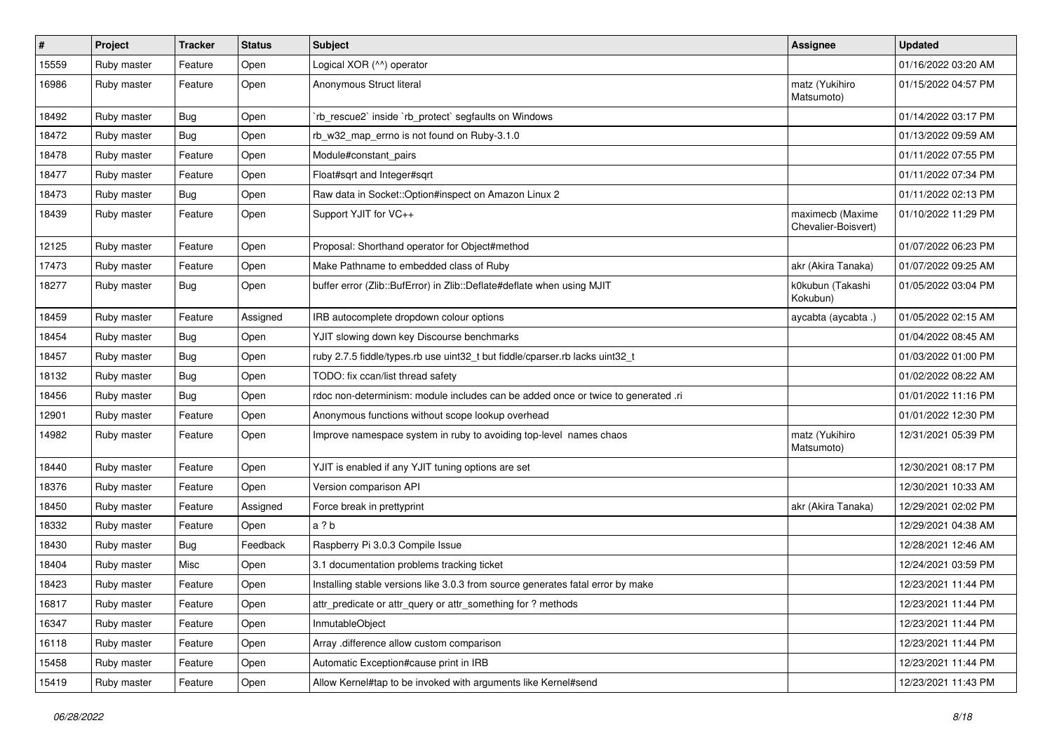| $\sharp$ | Project     | <b>Tracker</b> | <b>Status</b> | <b>Subject</b>                                                                    | <b>Assignee</b>                         | <b>Updated</b>      |
|----------|-------------|----------------|---------------|-----------------------------------------------------------------------------------|-----------------------------------------|---------------------|
| 15559    | Ruby master | Feature        | Open          | Logical XOR (^^) operator                                                         |                                         | 01/16/2022 03:20 AM |
| 16986    | Ruby master | Feature        | Open          | Anonymous Struct literal                                                          | matz (Yukihiro<br>Matsumoto)            | 01/15/2022 04:57 PM |
| 18492    | Ruby master | Bug            | Open          | rb_rescue2` inside `rb_protect` segfaults on Windows                              |                                         | 01/14/2022 03:17 PM |
| 18472    | Ruby master | Bug            | Open          | rb_w32_map_errno is not found on Ruby-3.1.0                                       |                                         | 01/13/2022 09:59 AM |
| 18478    | Ruby master | Feature        | Open          | Module#constant_pairs                                                             |                                         | 01/11/2022 07:55 PM |
| 18477    | Ruby master | Feature        | Open          | Float#sqrt and Integer#sqrt                                                       |                                         | 01/11/2022 07:34 PM |
| 18473    | Ruby master | Bug            | Open          | Raw data in Socket:: Option#inspect on Amazon Linux 2                             |                                         | 01/11/2022 02:13 PM |
| 18439    | Ruby master | Feature        | Open          | Support YJIT for VC++                                                             | maximecb (Maxime<br>Chevalier-Boisvert) | 01/10/2022 11:29 PM |
| 12125    | Ruby master | Feature        | Open          | Proposal: Shorthand operator for Object#method                                    |                                         | 01/07/2022 06:23 PM |
| 17473    | Ruby master | Feature        | Open          | Make Pathname to embedded class of Ruby                                           | akr (Akira Tanaka)                      | 01/07/2022 09:25 AM |
| 18277    | Ruby master | Bug            | Open          | buffer error (Zlib::BufError) in Zlib::Deflate#deflate when using MJIT            | k0kubun (Takashi<br>Kokubun)            | 01/05/2022 03:04 PM |
| 18459    | Ruby master | Feature        | Assigned      | IRB autocomplete dropdown colour options                                          | aycabta (aycabta.)                      | 01/05/2022 02:15 AM |
| 18454    | Ruby master | Bug            | Open          | YJIT slowing down key Discourse benchmarks                                        |                                         | 01/04/2022 08:45 AM |
| 18457    | Ruby master | <b>Bug</b>     | Open          | ruby 2.7.5 fiddle/types.rb use uint32_t but fiddle/cparser.rb lacks uint32_t      |                                         | 01/03/2022 01:00 PM |
| 18132    | Ruby master | Bug            | Open          | TODO: fix ccan/list thread safety                                                 |                                         | 01/02/2022 08:22 AM |
| 18456    | Ruby master | Bug            | Open          | rdoc non-determinism: module includes can be added once or twice to generated .ri |                                         | 01/01/2022 11:16 PM |
| 12901    | Ruby master | Feature        | Open          | Anonymous functions without scope lookup overhead                                 |                                         | 01/01/2022 12:30 PM |
| 14982    | Ruby master | Feature        | Open          | Improve namespace system in ruby to avoiding top-level names chaos                | matz (Yukihiro<br>Matsumoto)            | 12/31/2021 05:39 PM |
| 18440    | Ruby master | Feature        | Open          | YJIT is enabled if any YJIT tuning options are set                                |                                         | 12/30/2021 08:17 PM |
| 18376    | Ruby master | Feature        | Open          | Version comparison API                                                            |                                         | 12/30/2021 10:33 AM |
| 18450    | Ruby master | Feature        | Assigned      | Force break in prettyprint                                                        | akr (Akira Tanaka)                      | 12/29/2021 02:02 PM |
| 18332    | Ruby master | Feature        | Open          | a?b                                                                               |                                         | 12/29/2021 04:38 AM |
| 18430    | Ruby master | <b>Bug</b>     | Feedback      | Raspberry Pi 3.0.3 Compile Issue                                                  |                                         | 12/28/2021 12:46 AM |
| 18404    | Ruby master | Misc           | Open          | 3.1 documentation problems tracking ticket                                        |                                         | 12/24/2021 03:59 PM |
| 18423    | Ruby master | Feature        | Open          | Installing stable versions like 3.0.3 from source generates fatal error by make   |                                         | 12/23/2021 11:44 PM |
| 16817    | Ruby master | Feature        | Open          | attr_predicate or attr_query or attr_something for ? methods                      |                                         | 12/23/2021 11:44 PM |
| 16347    | Ruby master | Feature        | Open          | InmutableObject                                                                   |                                         | 12/23/2021 11:44 PM |
| 16118    | Ruby master | Feature        | Open          | Array .difference allow custom comparison                                         |                                         | 12/23/2021 11:44 PM |
| 15458    | Ruby master | Feature        | Open          | Automatic Exception#cause print in IRB                                            |                                         | 12/23/2021 11:44 PM |
| 15419    | Ruby master | Feature        | Open          | Allow Kernel#tap to be invoked with arguments like Kernel#send                    |                                         | 12/23/2021 11:43 PM |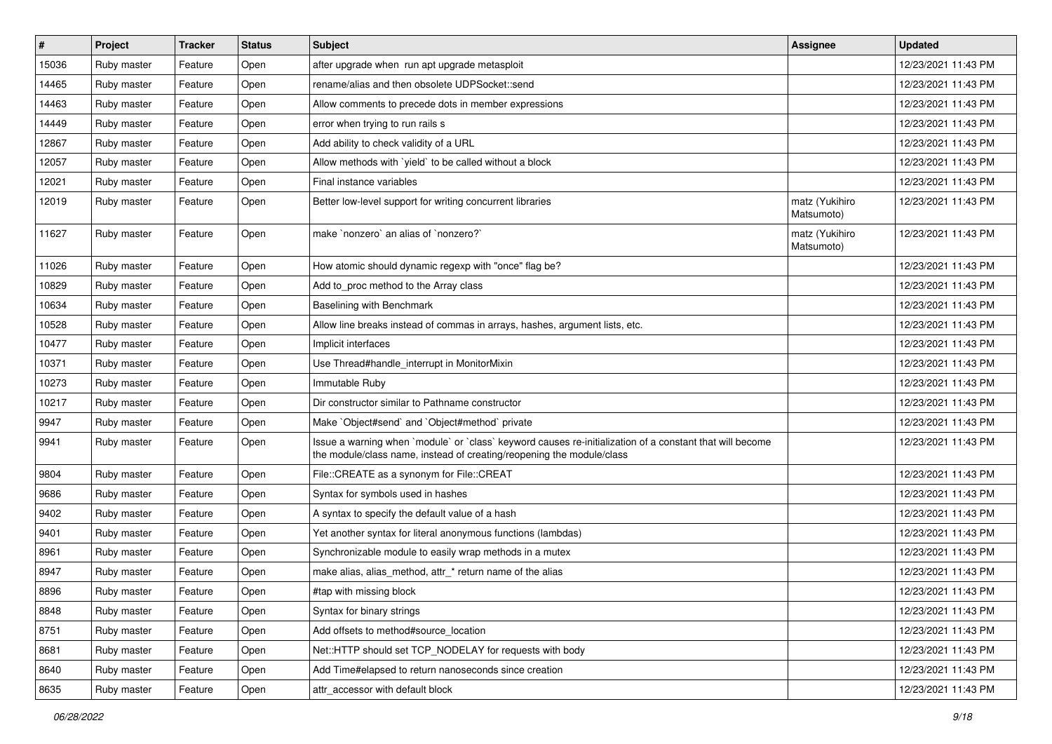| $\pmb{\#}$ | Project     | <b>Tracker</b> | <b>Status</b> | <b>Subject</b>                                                                                                                                                                    | <b>Assignee</b>              | <b>Updated</b>      |
|------------|-------------|----------------|---------------|-----------------------------------------------------------------------------------------------------------------------------------------------------------------------------------|------------------------------|---------------------|
| 15036      | Ruby master | Feature        | Open          | after upgrade when run apt upgrade metasploit                                                                                                                                     |                              | 12/23/2021 11:43 PM |
| 14465      | Ruby master | Feature        | Open          | rename/alias and then obsolete UDPSocket::send                                                                                                                                    |                              | 12/23/2021 11:43 PM |
| 14463      | Ruby master | Feature        | Open          | Allow comments to precede dots in member expressions                                                                                                                              |                              | 12/23/2021 11:43 PM |
| 14449      | Ruby master | Feature        | Open          | error when trying to run rails s                                                                                                                                                  |                              | 12/23/2021 11:43 PM |
| 12867      | Ruby master | Feature        | Open          | Add ability to check validity of a URL                                                                                                                                            |                              | 12/23/2021 11:43 PM |
| 12057      | Ruby master | Feature        | Open          | Allow methods with 'yield' to be called without a block                                                                                                                           |                              | 12/23/2021 11:43 PM |
| 12021      | Ruby master | Feature        | Open          | Final instance variables                                                                                                                                                          |                              | 12/23/2021 11:43 PM |
| 12019      | Ruby master | Feature        | Open          | Better low-level support for writing concurrent libraries                                                                                                                         | matz (Yukihiro<br>Matsumoto) | 12/23/2021 11:43 PM |
| 11627      | Ruby master | Feature        | Open          | make `nonzero` an alias of `nonzero?`                                                                                                                                             | matz (Yukihiro<br>Matsumoto) | 12/23/2021 11:43 PM |
| 11026      | Ruby master | Feature        | Open          | How atomic should dynamic regexp with "once" flag be?                                                                                                                             |                              | 12/23/2021 11:43 PM |
| 10829      | Ruby master | Feature        | Open          | Add to_proc method to the Array class                                                                                                                                             |                              | 12/23/2021 11:43 PM |
| 10634      | Ruby master | Feature        | Open          | Baselining with Benchmark                                                                                                                                                         |                              | 12/23/2021 11:43 PM |
| 10528      | Ruby master | Feature        | Open          | Allow line breaks instead of commas in arrays, hashes, argument lists, etc.                                                                                                       |                              | 12/23/2021 11:43 PM |
| 10477      | Ruby master | Feature        | Open          | Implicit interfaces                                                                                                                                                               |                              | 12/23/2021 11:43 PM |
| 10371      | Ruby master | Feature        | Open          | Use Thread#handle_interrupt in MonitorMixin                                                                                                                                       |                              | 12/23/2021 11:43 PM |
| 10273      | Ruby master | Feature        | Open          | Immutable Ruby                                                                                                                                                                    |                              | 12/23/2021 11:43 PM |
| 10217      | Ruby master | Feature        | Open          | Dir constructor similar to Pathname constructor                                                                                                                                   |                              | 12/23/2021 11:43 PM |
| 9947       | Ruby master | Feature        | Open          | Make `Object#send` and `Object#method` private                                                                                                                                    |                              | 12/23/2021 11:43 PM |
| 9941       | Ruby master | Feature        | Open          | Issue a warning when `module` or `class` keyword causes re-initialization of a constant that will become<br>the module/class name, instead of creating/reopening the module/class |                              | 12/23/2021 11:43 PM |
| 9804       | Ruby master | Feature        | Open          | File::CREATE as a synonym for File::CREAT                                                                                                                                         |                              | 12/23/2021 11:43 PM |
| 9686       | Ruby master | Feature        | Open          | Syntax for symbols used in hashes                                                                                                                                                 |                              | 12/23/2021 11:43 PM |
| 9402       | Ruby master | Feature        | Open          | A syntax to specify the default value of a hash                                                                                                                                   |                              | 12/23/2021 11:43 PM |
| 9401       | Ruby master | Feature        | Open          | Yet another syntax for literal anonymous functions (lambdas)                                                                                                                      |                              | 12/23/2021 11:43 PM |
| 8961       | Ruby master | Feature        | Open          | Synchronizable module to easily wrap methods in a mutex                                                                                                                           |                              | 12/23/2021 11:43 PM |
| 8947       | Ruby master | Feature        | Open          | make alias, alias_method, attr_* return name of the alias                                                                                                                         |                              | 12/23/2021 11:43 PM |
| 8896       | Ruby master | Feature        | Open          | #tap with missing block                                                                                                                                                           |                              | 12/23/2021 11:43 PM |
| 8848       | Ruby master | Feature        | Open          | Syntax for binary strings                                                                                                                                                         |                              | 12/23/2021 11:43 PM |
| 8751       | Ruby master | Feature        | Open          | Add offsets to method#source location                                                                                                                                             |                              | 12/23/2021 11:43 PM |
| 8681       | Ruby master | Feature        | Open          | Net::HTTP should set TCP_NODELAY for requests with body                                                                                                                           |                              | 12/23/2021 11:43 PM |
| 8640       | Ruby master | Feature        | Open          | Add Time#elapsed to return nanoseconds since creation                                                                                                                             |                              | 12/23/2021 11:43 PM |
| 8635       | Ruby master | Feature        | Open          | attr accessor with default block                                                                                                                                                  |                              | 12/23/2021 11:43 PM |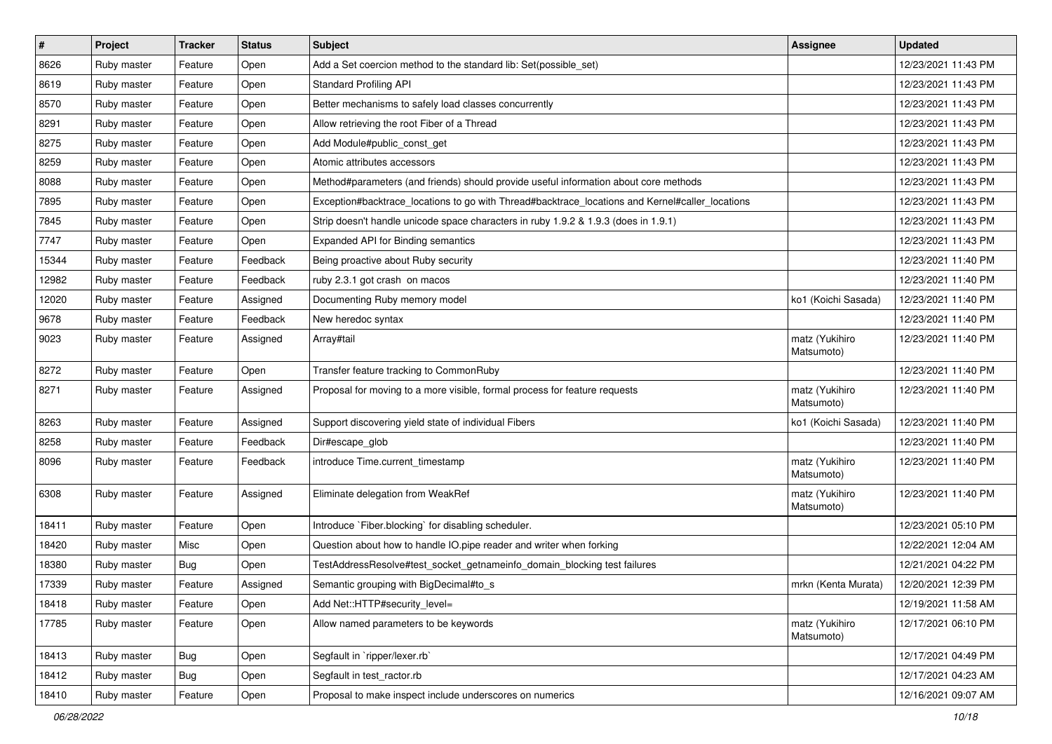| $\sharp$ | Project     | <b>Tracker</b> | <b>Status</b> | <b>Subject</b>                                                                                  | <b>Assignee</b>              | <b>Updated</b>      |
|----------|-------------|----------------|---------------|-------------------------------------------------------------------------------------------------|------------------------------|---------------------|
| 8626     | Ruby master | Feature        | Open          | Add a Set coercion method to the standard lib: Set (possible set)                               |                              | 12/23/2021 11:43 PM |
| 8619     | Ruby master | Feature        | Open          | <b>Standard Profiling API</b>                                                                   |                              | 12/23/2021 11:43 PM |
| 8570     | Ruby master | Feature        | Open          | Better mechanisms to safely load classes concurrently                                           |                              | 12/23/2021 11:43 PM |
| 8291     | Ruby master | Feature        | Open          | Allow retrieving the root Fiber of a Thread                                                     |                              | 12/23/2021 11:43 PM |
| 8275     | Ruby master | Feature        | Open          | Add Module#public_const_get                                                                     |                              | 12/23/2021 11:43 PM |
| 8259     | Ruby master | Feature        | Open          | Atomic attributes accessors                                                                     |                              | 12/23/2021 11:43 PM |
| 8088     | Ruby master | Feature        | Open          | Method#parameters (and friends) should provide useful information about core methods            |                              | 12/23/2021 11:43 PM |
| 7895     | Ruby master | Feature        | Open          | Exception#backtrace_locations to go with Thread#backtrace_locations and Kernel#caller_locations |                              | 12/23/2021 11:43 PM |
| 7845     | Ruby master | Feature        | Open          | Strip doesn't handle unicode space characters in ruby 1.9.2 & 1.9.3 (does in 1.9.1)             |                              | 12/23/2021 11:43 PM |
| 7747     | Ruby master | Feature        | Open          | Expanded API for Binding semantics                                                              |                              | 12/23/2021 11:43 PM |
| 15344    | Ruby master | Feature        | Feedback      | Being proactive about Ruby security                                                             |                              | 12/23/2021 11:40 PM |
| 12982    | Ruby master | Feature        | Feedback      | ruby 2.3.1 got crash on macos                                                                   |                              | 12/23/2021 11:40 PM |
| 12020    | Ruby master | Feature        | Assigned      | Documenting Ruby memory model                                                                   | ko1 (Koichi Sasada)          | 12/23/2021 11:40 PM |
| 9678     | Ruby master | Feature        | Feedback      | New heredoc syntax                                                                              |                              | 12/23/2021 11:40 PM |
| 9023     | Ruby master | Feature        | Assigned      | Array#tail                                                                                      | matz (Yukihiro<br>Matsumoto) | 12/23/2021 11:40 PM |
| 8272     | Ruby master | Feature        | Open          | Transfer feature tracking to CommonRuby                                                         |                              | 12/23/2021 11:40 PM |
| 8271     | Ruby master | Feature        | Assigned      | Proposal for moving to a more visible, formal process for feature requests                      | matz (Yukihiro<br>Matsumoto) | 12/23/2021 11:40 PM |
| 8263     | Ruby master | Feature        | Assigned      | Support discovering yield state of individual Fibers                                            | ko1 (Koichi Sasada)          | 12/23/2021 11:40 PM |
| 8258     | Ruby master | Feature        | Feedback      | Dir#escape_glob                                                                                 |                              | 12/23/2021 11:40 PM |
| 8096     | Ruby master | Feature        | Feedback      | introduce Time.current_timestamp                                                                | matz (Yukihiro<br>Matsumoto) | 12/23/2021 11:40 PM |
| 6308     | Ruby master | Feature        | Assigned      | Eliminate delegation from WeakRef                                                               | matz (Yukihiro<br>Matsumoto) | 12/23/2021 11:40 PM |
| 18411    | Ruby master | Feature        | Open          | Introduce `Fiber.blocking` for disabling scheduler.                                             |                              | 12/23/2021 05:10 PM |
| 18420    | Ruby master | Misc           | Open          | Question about how to handle IO.pipe reader and writer when forking                             |                              | 12/22/2021 12:04 AM |
| 18380    | Ruby master | <b>Bug</b>     | Open          | TestAddressResolve#test_socket_getnameinfo_domain_blocking test failures                        |                              | 12/21/2021 04:22 PM |
| 17339    | Ruby master | Feature        | Assigned      | Semantic grouping with BigDecimal#to_s                                                          | mrkn (Kenta Murata)          | 12/20/2021 12:39 PM |
| 18418    | Ruby master | Feature        | Open          | Add Net::HTTP#security level=                                                                   |                              | 12/19/2021 11:58 AM |
| 17785    | Ruby master | Feature        | Open          | Allow named parameters to be keywords                                                           | matz (Yukihiro<br>Matsumoto) | 12/17/2021 06:10 PM |
| 18413    | Ruby master | <b>Bug</b>     | Open          | Segfault in `ripper/lexer.rb`                                                                   |                              | 12/17/2021 04:49 PM |
| 18412    | Ruby master | <b>Bug</b>     | Open          | Segfault in test_ractor.rb                                                                      |                              | 12/17/2021 04:23 AM |
| 18410    | Ruby master | Feature        | Open          | Proposal to make inspect include underscores on numerics                                        |                              | 12/16/2021 09:07 AM |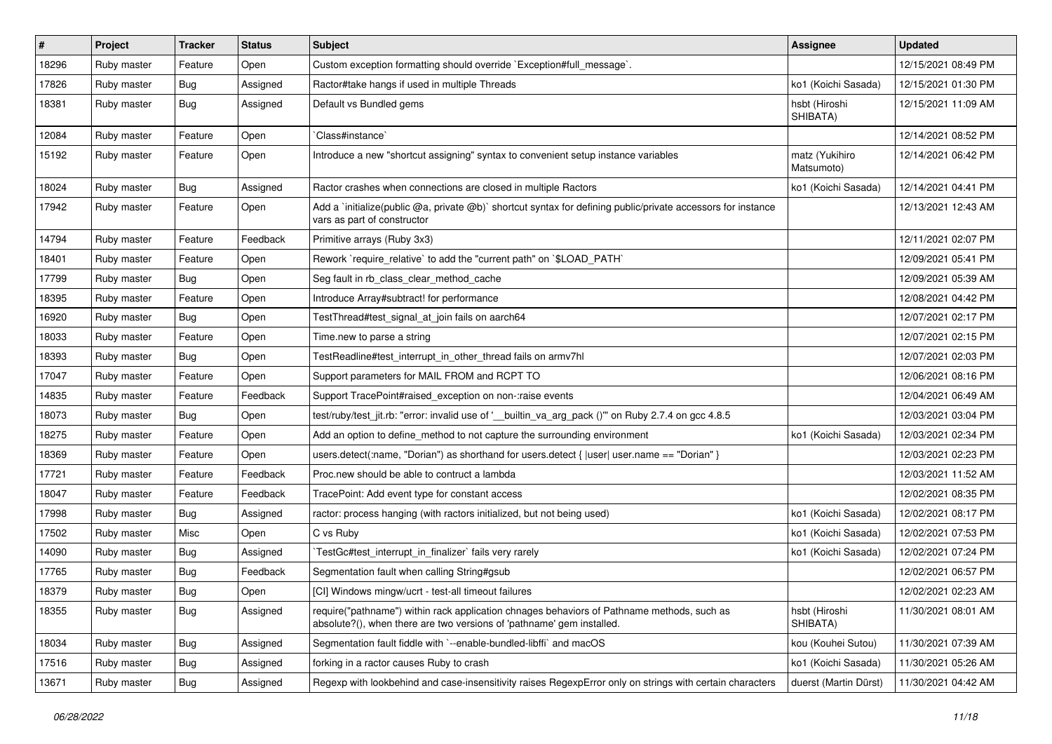| $\vert$ # | Project     | <b>Tracker</b> | <b>Status</b> | <b>Subject</b>                                                                                                                                                      | Assignee                     | <b>Updated</b>      |
|-----------|-------------|----------------|---------------|---------------------------------------------------------------------------------------------------------------------------------------------------------------------|------------------------------|---------------------|
| 18296     | Ruby master | Feature        | Open          | Custom exception formatting should override `Exception#full_message`.                                                                                               |                              | 12/15/2021 08:49 PM |
| 17826     | Ruby master | <b>Bug</b>     | Assigned      | Ractor#take hangs if used in multiple Threads                                                                                                                       | ko1 (Koichi Sasada)          | 12/15/2021 01:30 PM |
| 18381     | Ruby master | Bug            | Assigned      | Default vs Bundled gems                                                                                                                                             | hsbt (Hiroshi<br>SHIBATA)    | 12/15/2021 11:09 AM |
| 12084     | Ruby master | Feature        | Open          | Class#instance`                                                                                                                                                     |                              | 12/14/2021 08:52 PM |
| 15192     | Ruby master | Feature        | Open          | Introduce a new "shortcut assigning" syntax to convenient setup instance variables                                                                                  | matz (Yukihiro<br>Matsumoto) | 12/14/2021 06:42 PM |
| 18024     | Ruby master | Bug            | Assigned      | Ractor crashes when connections are closed in multiple Ractors                                                                                                      | ko1 (Koichi Sasada)          | 12/14/2021 04:41 PM |
| 17942     | Ruby master | Feature        | Open          | Add a 'initialize(public @a, private @b)' shortcut syntax for defining public/private accessors for instance<br>vars as part of constructor                         |                              | 12/13/2021 12:43 AM |
| 14794     | Ruby master | Feature        | Feedback      | Primitive arrays (Ruby 3x3)                                                                                                                                         |                              | 12/11/2021 02:07 PM |
| 18401     | Ruby master | Feature        | Open          | Rework `require_relative` to add the "current path" on `\$LOAD_PATH`                                                                                                |                              | 12/09/2021 05:41 PM |
| 17799     | Ruby master | Bug            | Open          | Seg fault in rb_class_clear_method_cache                                                                                                                            |                              | 12/09/2021 05:39 AM |
| 18395     | Ruby master | Feature        | Open          | Introduce Array#subtract! for performance                                                                                                                           |                              | 12/08/2021 04:42 PM |
| 16920     | Ruby master | <b>Bug</b>     | Open          | TestThread#test_signal_at_join fails on aarch64                                                                                                                     |                              | 12/07/2021 02:17 PM |
| 18033     | Ruby master | Feature        | Open          | Time.new to parse a string                                                                                                                                          |                              | 12/07/2021 02:15 PM |
| 18393     | Ruby master | Bug            | Open          | TestReadline#test interrupt in other thread fails on armv7hl                                                                                                        |                              | 12/07/2021 02:03 PM |
| 17047     | Ruby master | Feature        | Open          | Support parameters for MAIL FROM and RCPT TO                                                                                                                        |                              | 12/06/2021 08:16 PM |
| 14835     | Ruby master | Feature        | Feedback      | Support TracePoint#raised exception on non-:raise events                                                                                                            |                              | 12/04/2021 06:49 AM |
| 18073     | Ruby master | <b>Bug</b>     | Open          | test/ruby/test_jit.rb: "error: invalid use of '__builtin_va_arg_pack ()" on Ruby 2.7.4 on gcc 4.8.5                                                                 |                              | 12/03/2021 03:04 PM |
| 18275     | Ruby master | Feature        | Open          | Add an option to define_method to not capture the surrounding environment                                                                                           | ko1 (Koichi Sasada)          | 12/03/2021 02:34 PM |
| 18369     | Ruby master | Feature        | Open          | users.detect(:name, "Dorian") as shorthand for users.detect { $ user user.name == "Dorian"$ }                                                                       |                              | 12/03/2021 02:23 PM |
| 17721     | Ruby master | Feature        | Feedback      | Proc.new should be able to contruct a lambda                                                                                                                        |                              | 12/03/2021 11:52 AM |
| 18047     | Ruby master | Feature        | Feedback      | TracePoint: Add event type for constant access                                                                                                                      |                              | 12/02/2021 08:35 PM |
| 17998     | Ruby master | Bug            | Assigned      | ractor: process hanging (with ractors initialized, but not being used)                                                                                              | ko1 (Koichi Sasada)          | 12/02/2021 08:17 PM |
| 17502     | Ruby master | Misc           | Open          | C vs Ruby                                                                                                                                                           | ko1 (Koichi Sasada)          | 12/02/2021 07:53 PM |
| 14090     | Ruby master | <b>Bug</b>     | Assigned      | TestGc#test interrupt in finalizer` fails very rarely                                                                                                               | ko1 (Koichi Sasada)          | 12/02/2021 07:24 PM |
| 17765     | Ruby master | <b>Bug</b>     | Feedback      | Segmentation fault when calling String#gsub                                                                                                                         |                              | 12/02/2021 06:57 PM |
| 18379     | Ruby master | Bug            | Open          | [CI] Windows mingw/ucrt - test-all timeout failures                                                                                                                 |                              | 12/02/2021 02:23 AM |
| 18355     | Ruby master | Bug            | Assigned      | require("pathname") within rack application chnages behaviors of Pathname methods, such as<br>absolute?(), when there are two versions of 'pathname' gem installed. | hsbt (Hiroshi<br>SHIBATA)    | 11/30/2021 08:01 AM |
| 18034     | Ruby master | <b>Bug</b>     | Assigned      | Segmentation fault fiddle with `--enable-bundled-libffi` and macOS                                                                                                  | kou (Kouhei Sutou)           | 11/30/2021 07:39 AM |
| 17516     | Ruby master | <b>Bug</b>     | Assigned      | forking in a ractor causes Ruby to crash                                                                                                                            | ko1 (Koichi Sasada)          | 11/30/2021 05:26 AM |
| 13671     | Ruby master | <b>Bug</b>     | Assigned      | Regexp with lookbehind and case-insensitivity raises RegexpError only on strings with certain characters                                                            | duerst (Martin Dürst)        | 11/30/2021 04:42 AM |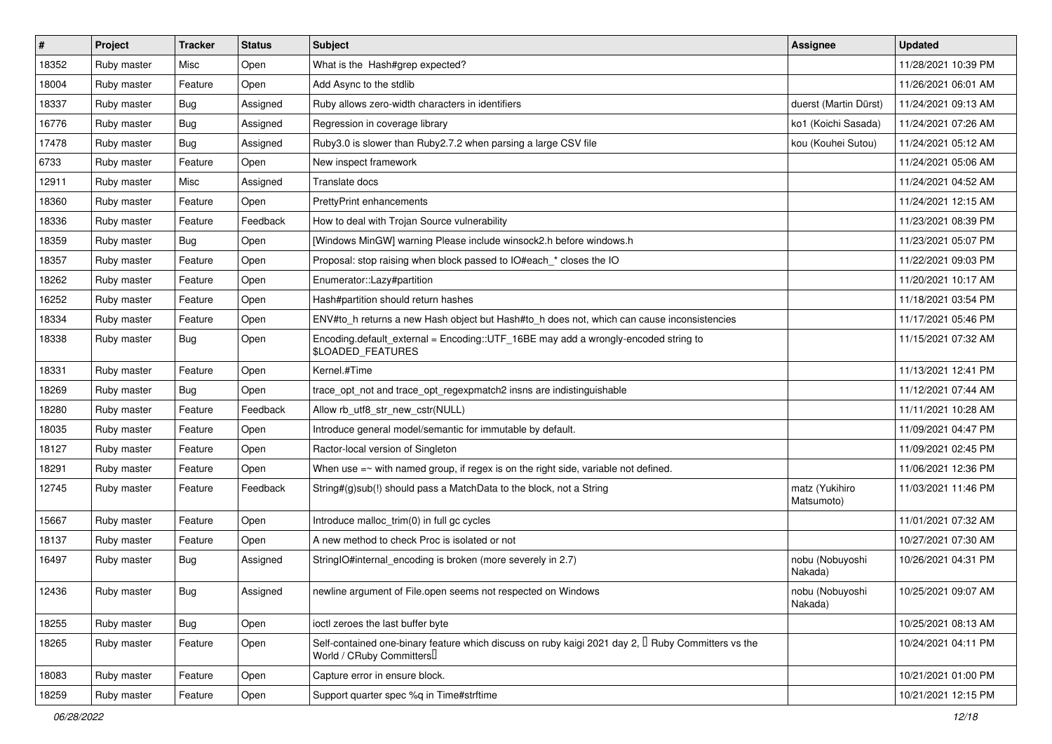| $\vert$ # | Project     | <b>Tracker</b> | <b>Status</b> | <b>Subject</b>                                                                                                                             | <b>Assignee</b>              | <b>Updated</b>      |
|-----------|-------------|----------------|---------------|--------------------------------------------------------------------------------------------------------------------------------------------|------------------------------|---------------------|
| 18352     | Ruby master | Misc           | Open          | What is the Hash#grep expected?                                                                                                            |                              | 11/28/2021 10:39 PM |
| 18004     | Ruby master | Feature        | Open          | Add Async to the stdlib                                                                                                                    |                              | 11/26/2021 06:01 AM |
| 18337     | Ruby master | <b>Bug</b>     | Assigned      | Ruby allows zero-width characters in identifiers                                                                                           | duerst (Martin Dürst)        | 11/24/2021 09:13 AM |
| 16776     | Ruby master | <b>Bug</b>     | Assigned      | Regression in coverage library                                                                                                             | ko1 (Koichi Sasada)          | 11/24/2021 07:26 AM |
| 17478     | Ruby master | <b>Bug</b>     | Assigned      | Ruby3.0 is slower than Ruby2.7.2 when parsing a large CSV file                                                                             | kou (Kouhei Sutou)           | 11/24/2021 05:12 AM |
| 6733      | Ruby master | Feature        | Open          | New inspect framework                                                                                                                      |                              | 11/24/2021 05:06 AM |
| 12911     | Ruby master | Misc           | Assigned      | Translate docs                                                                                                                             |                              | 11/24/2021 04:52 AM |
| 18360     | Ruby master | Feature        | Open          | <b>PrettyPrint enhancements</b>                                                                                                            |                              | 11/24/2021 12:15 AM |
| 18336     | Ruby master | Feature        | Feedback      | How to deal with Trojan Source vulnerability                                                                                               |                              | 11/23/2021 08:39 PM |
| 18359     | Ruby master | Bug            | Open          | [Windows MinGW] warning Please include winsock2.h before windows.h                                                                         |                              | 11/23/2021 05:07 PM |
| 18357     | Ruby master | Feature        | Open          | Proposal: stop raising when block passed to IO#each * closes the IO                                                                        |                              | 11/22/2021 09:03 PM |
| 18262     | Ruby master | Feature        | Open          | Enumerator::Lazy#partition                                                                                                                 |                              | 11/20/2021 10:17 AM |
| 16252     | Ruby master | Feature        | Open          | Hash#partition should return hashes                                                                                                        |                              | 11/18/2021 03:54 PM |
| 18334     | Ruby master | Feature        | Open          | ENV#to_h returns a new Hash object but Hash#to_h does not, which can cause inconsistencies                                                 |                              | 11/17/2021 05:46 PM |
| 18338     | Ruby master | Bug            | Open          | Encoding.default_external = Encoding::UTF_16BE may add a wrongly-encoded string to<br><b>SLOADED_FEATURES</b>                              |                              | 11/15/2021 07:32 AM |
| 18331     | Ruby master | Feature        | Open          | Kernel.#Time                                                                                                                               |                              | 11/13/2021 12:41 PM |
| 18269     | Ruby master | Bug            | Open          | trace_opt_not and trace_opt_regexpmatch2 insns are indistinguishable                                                                       |                              | 11/12/2021 07:44 AM |
| 18280     | Ruby master | Feature        | Feedback      | Allow rb utf8 str new cstr(NULL)                                                                                                           |                              | 11/11/2021 10:28 AM |
| 18035     | Ruby master | Feature        | Open          | Introduce general model/semantic for immutable by default.                                                                                 |                              | 11/09/2021 04:47 PM |
| 18127     | Ruby master | Feature        | Open          | Ractor-local version of Singleton                                                                                                          |                              | 11/09/2021 02:45 PM |
| 18291     | Ruby master | Feature        | Open          | When use $=\sim$ with named group, if regex is on the right side, variable not defined.                                                    |                              | 11/06/2021 12:36 PM |
| 12745     | Ruby master | Feature        | Feedback      | String#(g)sub(!) should pass a MatchData to the block, not a String                                                                        | matz (Yukihiro<br>Matsumoto) | 11/03/2021 11:46 PM |
| 15667     | Ruby master | Feature        | Open          | Introduce malloc_trim(0) in full gc cycles                                                                                                 |                              | 11/01/2021 07:32 AM |
| 18137     | Ruby master | Feature        | Open          | A new method to check Proc is isolated or not                                                                                              |                              | 10/27/2021 07:30 AM |
| 16497     | Ruby master | Bug            | Assigned      | StringIO#internal_encoding is broken (more severely in 2.7)                                                                                | nobu (Nobuyoshi<br>Nakada)   | 10/26/2021 04:31 PM |
| 12436     | Ruby master | Bug            | Assigned      | newline argument of File.open seems not respected on Windows                                                                               | nobu (Nobuyoshi<br>Nakada)   | 10/25/2021 09:07 AM |
| 18255     | Ruby master | <b>Bug</b>     | Open          | ioctl zeroes the last buffer byte                                                                                                          |                              | 10/25/2021 08:13 AM |
| 18265     | Ruby master | Feature        | Open          | Self-contained one-binary feature which discuss on ruby kaigi 2021 day 2, <sup>[]</sup> Ruby Committers vs the<br>World / CRuby Committers |                              | 10/24/2021 04:11 PM |
| 18083     | Ruby master | Feature        | Open          | Capture error in ensure block.                                                                                                             |                              | 10/21/2021 01:00 PM |
| 18259     | Ruby master | Feature        | Open          | Support quarter spec %q in Time#strftime                                                                                                   |                              | 10/21/2021 12:15 PM |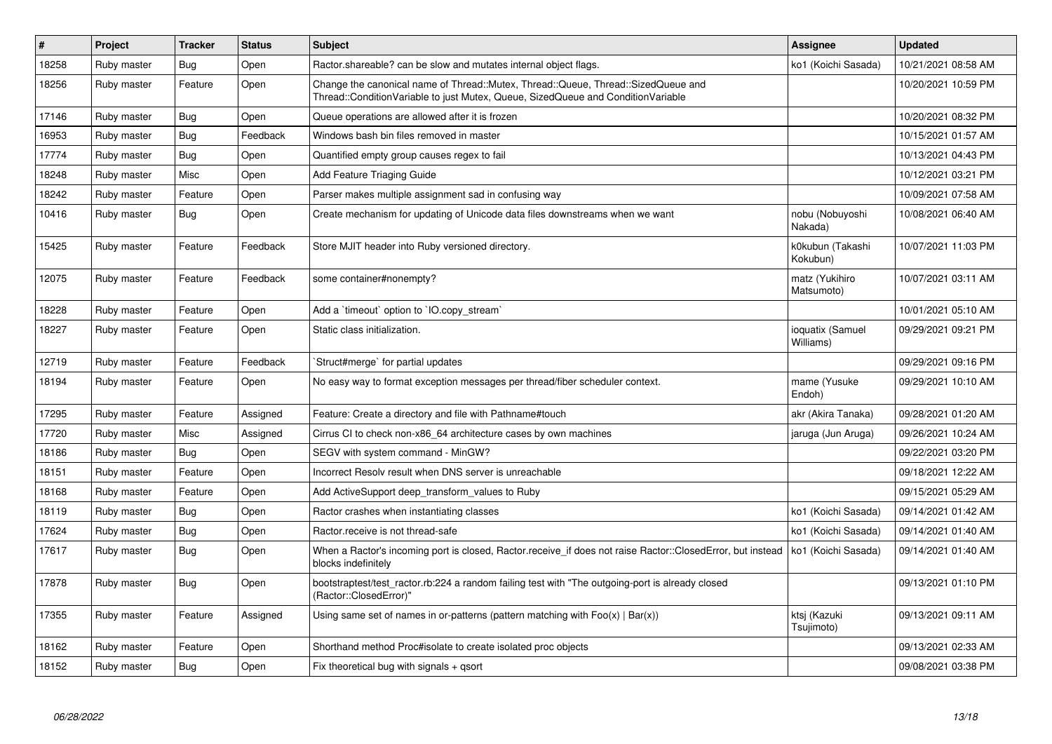| $\vert$ # | Project     | <b>Tracker</b> | <b>Status</b> | <b>Subject</b>                                                                                                                                                        | Assignee                      | <b>Updated</b>      |
|-----------|-------------|----------------|---------------|-----------------------------------------------------------------------------------------------------------------------------------------------------------------------|-------------------------------|---------------------|
| 18258     | Ruby master | Bug            | Open          | Ractor shareable? can be slow and mutates internal object flags.                                                                                                      | ko1 (Koichi Sasada)           | 10/21/2021 08:58 AM |
| 18256     | Ruby master | Feature        | Open          | Change the canonical name of Thread::Mutex, Thread::Queue, Thread::SizedQueue and<br>Thread::ConditionVariable to just Mutex, Queue, SizedQueue and ConditionVariable |                               | 10/20/2021 10:59 PM |
| 17146     | Ruby master | <b>Bug</b>     | Open          | Queue operations are allowed after it is frozen                                                                                                                       |                               | 10/20/2021 08:32 PM |
| 16953     | Ruby master | <b>Bug</b>     | Feedback      | Windows bash bin files removed in master                                                                                                                              |                               | 10/15/2021 01:57 AM |
| 17774     | Ruby master | <b>Bug</b>     | Open          | Quantified empty group causes regex to fail                                                                                                                           |                               | 10/13/2021 04:43 PM |
| 18248     | Ruby master | Misc           | Open          | Add Feature Triaging Guide                                                                                                                                            |                               | 10/12/2021 03:21 PM |
| 18242     | Ruby master | Feature        | Open          | Parser makes multiple assignment sad in confusing way                                                                                                                 |                               | 10/09/2021 07:58 AM |
| 10416     | Ruby master | Bug            | Open          | Create mechanism for updating of Unicode data files downstreams when we want                                                                                          | nobu (Nobuyoshi<br>Nakada)    | 10/08/2021 06:40 AM |
| 15425     | Ruby master | Feature        | Feedback      | Store MJIT header into Ruby versioned directory.                                                                                                                      | k0kubun (Takashi<br>Kokubun)  | 10/07/2021 11:03 PM |
| 12075     | Ruby master | Feature        | Feedback      | some container#nonempty?                                                                                                                                              | matz (Yukihiro<br>Matsumoto)  | 10/07/2021 03:11 AM |
| 18228     | Ruby master | Feature        | Open          | Add a 'timeout' option to 'IO.copy stream'                                                                                                                            |                               | 10/01/2021 05:10 AM |
| 18227     | Ruby master | Feature        | Open          | Static class initialization.                                                                                                                                          | ioquatix (Samuel<br>Williams) | 09/29/2021 09:21 PM |
| 12719     | Ruby master | Feature        | Feedback      | Struct#merge` for partial updates                                                                                                                                     |                               | 09/29/2021 09:16 PM |
| 18194     | Ruby master | Feature        | Open          | No easy way to format exception messages per thread/fiber scheduler context.                                                                                          | mame (Yusuke<br>Endoh)        | 09/29/2021 10:10 AM |
| 17295     | Ruby master | Feature        | Assigned      | Feature: Create a directory and file with Pathname#touch                                                                                                              | akr (Akira Tanaka)            | 09/28/2021 01:20 AM |
| 17720     | Ruby master | Misc           | Assigned      | Cirrus CI to check non-x86 64 architecture cases by own machines                                                                                                      | jaruga (Jun Aruga)            | 09/26/2021 10:24 AM |
| 18186     | Ruby master | <b>Bug</b>     | Open          | SEGV with system command - MinGW?                                                                                                                                     |                               | 09/22/2021 03:20 PM |
| 18151     | Ruby master | Feature        | Open          | Incorrect Resolv result when DNS server is unreachable                                                                                                                |                               | 09/18/2021 12:22 AM |
| 18168     | Ruby master | Feature        | Open          | Add ActiveSupport deep transform values to Ruby                                                                                                                       |                               | 09/15/2021 05:29 AM |
| 18119     | Ruby master | Bug            | Open          | Ractor crashes when instantiating classes                                                                                                                             | ko1 (Koichi Sasada)           | 09/14/2021 01:42 AM |
| 17624     | Ruby master | Bug            | Open          | Ractor.receive is not thread-safe                                                                                                                                     | ko1 (Koichi Sasada)           | 09/14/2021 01:40 AM |
| 17617     | Ruby master | <b>Bug</b>     | Open          | When a Ractor's incoming port is closed, Ractor.receive_if does not raise Ractor::ClosedError, but instead<br>blocks indefinitely                                     | ko1 (Koichi Sasada)           | 09/14/2021 01:40 AM |
| 17878     | Ruby master | Bug            | Open          | bootstraptest/test ractor.rb:224 a random failing test with "The outgoing-port is already closed<br>(Ractor::ClosedError)"                                            |                               | 09/13/2021 01:10 PM |
| 17355     | Ruby master | Feature        | Assigned      | Using same set of names in or-patterns (pattern matching with $Foo(x)   Bar(x)$ )                                                                                     | ktsj (Kazuki<br>Tsujimoto)    | 09/13/2021 09:11 AM |
| 18162     | Ruby master | Feature        | Open          | Shorthand method Proc#isolate to create isolated proc objects                                                                                                         |                               | 09/13/2021 02:33 AM |
| 18152     | Ruby master | Bug            | Open          | Fix theoretical bug with signals + qsort                                                                                                                              |                               | 09/08/2021 03:38 PM |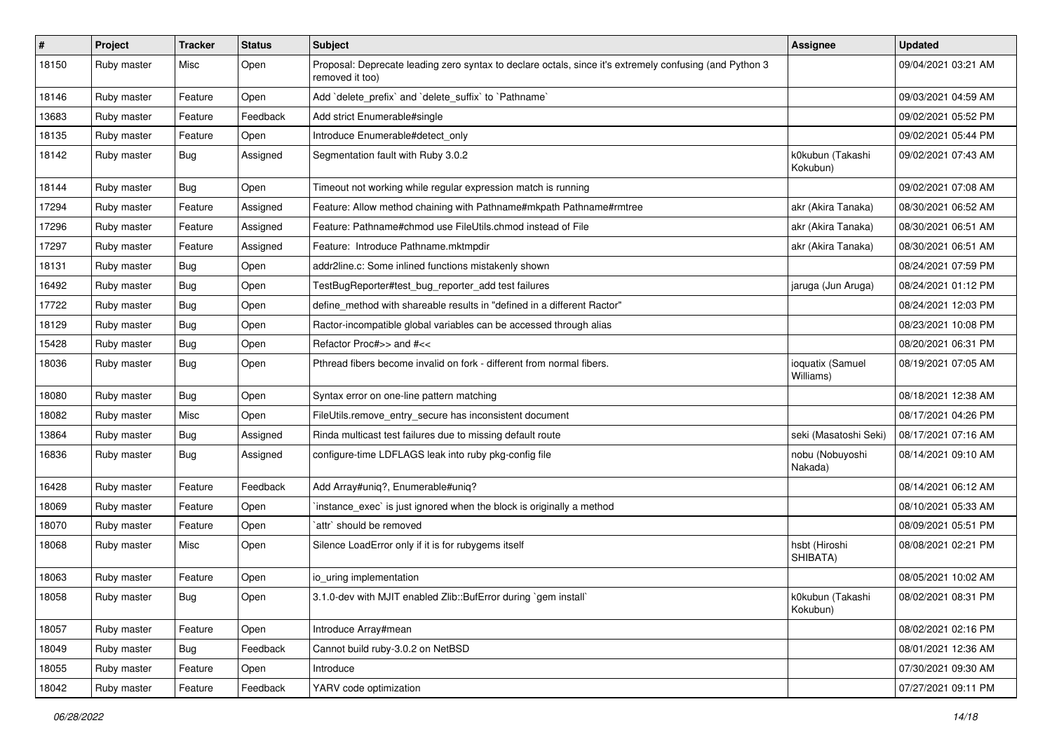| $\sharp$ | Project     | <b>Tracker</b> | <b>Status</b> | Subject                                                                                                                    | <b>Assignee</b>               | <b>Updated</b>      |
|----------|-------------|----------------|---------------|----------------------------------------------------------------------------------------------------------------------------|-------------------------------|---------------------|
| 18150    | Ruby master | Misc           | Open          | Proposal: Deprecate leading zero syntax to declare octals, since it's extremely confusing (and Python 3<br>removed it too) |                               | 09/04/2021 03:21 AM |
| 18146    | Ruby master | Feature        | Open          | Add 'delete_prefix' and 'delete_suffix' to 'Pathname'                                                                      |                               | 09/03/2021 04:59 AM |
| 13683    | Ruby master | Feature        | Feedback      | Add strict Enumerable#single                                                                                               |                               | 09/02/2021 05:52 PM |
| 18135    | Ruby master | Feature        | Open          | Introduce Enumerable#detect_only                                                                                           |                               | 09/02/2021 05:44 PM |
| 18142    | Ruby master | <b>Bug</b>     | Assigned      | Segmentation fault with Ruby 3.0.2                                                                                         | k0kubun (Takashi<br>Kokubun)  | 09/02/2021 07:43 AM |
| 18144    | Ruby master | <b>Bug</b>     | Open          | Timeout not working while regular expression match is running                                                              |                               | 09/02/2021 07:08 AM |
| 17294    | Ruby master | Feature        | Assigned      | Feature: Allow method chaining with Pathname#mkpath Pathname#rmtree                                                        | akr (Akira Tanaka)            | 08/30/2021 06:52 AM |
| 17296    | Ruby master | Feature        | Assigned      | Feature: Pathname#chmod use FileUtils.chmod instead of File                                                                | akr (Akira Tanaka)            | 08/30/2021 06:51 AM |
| 17297    | Ruby master | Feature        | Assigned      | Feature: Introduce Pathname.mktmpdir                                                                                       | akr (Akira Tanaka)            | 08/30/2021 06:51 AM |
| 18131    | Ruby master | Bug            | Open          | addr2line.c: Some inlined functions mistakenly shown                                                                       |                               | 08/24/2021 07:59 PM |
| 16492    | Ruby master | <b>Bug</b>     | Open          | TestBugReporter#test_bug_reporter_add test failures                                                                        | jaruga (Jun Aruga)            | 08/24/2021 01:12 PM |
| 17722    | Ruby master | <b>Bug</b>     | Open          | define_method with shareable results in "defined in a different Ractor"                                                    |                               | 08/24/2021 12:03 PM |
| 18129    | Ruby master | <b>Bug</b>     | Open          | Ractor-incompatible global variables can be accessed through alias                                                         |                               | 08/23/2021 10:08 PM |
| 15428    | Ruby master | Bug            | Open          | Refactor Proc#>> and #<<                                                                                                   |                               | 08/20/2021 06:31 PM |
| 18036    | Ruby master | <b>Bug</b>     | Open          | Pthread fibers become invalid on fork - different from normal fibers.                                                      | ioquatix (Samuel<br>Williams) | 08/19/2021 07:05 AM |
| 18080    | Ruby master | <b>Bug</b>     | Open          | Syntax error on one-line pattern matching                                                                                  |                               | 08/18/2021 12:38 AM |
| 18082    | Ruby master | Misc           | Open          | FileUtils.remove_entry_secure has inconsistent document                                                                    |                               | 08/17/2021 04:26 PM |
| 13864    | Ruby master | <b>Bug</b>     | Assigned      | Rinda multicast test failures due to missing default route                                                                 | seki (Masatoshi Seki)         | 08/17/2021 07:16 AM |
| 16836    | Ruby master | <b>Bug</b>     | Assigned      | configure-time LDFLAGS leak into ruby pkg-config file                                                                      | nobu (Nobuyoshi<br>Nakada)    | 08/14/2021 09:10 AM |
| 16428    | Ruby master | Feature        | Feedback      | Add Array#uniq?, Enumerable#uniq?                                                                                          |                               | 08/14/2021 06:12 AM |
| 18069    | Ruby master | Feature        | Open          | instance_exec` is just ignored when the block is originally a method                                                       |                               | 08/10/2021 05:33 AM |
| 18070    | Ruby master | Feature        | Open          | `attr` should be removed                                                                                                   |                               | 08/09/2021 05:51 PM |
| 18068    | Ruby master | Misc           | Open          | Silence LoadError only if it is for rubygems itself                                                                        | hsbt (Hiroshi<br>SHIBATA)     | 08/08/2021 02:21 PM |
| 18063    | Ruby master | Feature        | Open          | io_uring implementation                                                                                                    |                               | 08/05/2021 10:02 AM |
| 18058    | Ruby master | Bug            | Open          | 3.1.0-dev with MJIT enabled Zlib::BufError during `gem install`                                                            | k0kubun (Takashi<br>Kokubun)  | 08/02/2021 08:31 PM |
| 18057    | Ruby master | Feature        | Open          | Introduce Array#mean                                                                                                       |                               | 08/02/2021 02:16 PM |
| 18049    | Ruby master | Bug            | Feedback      | Cannot build ruby-3.0.2 on NetBSD                                                                                          |                               | 08/01/2021 12:36 AM |
| 18055    | Ruby master | Feature        | Open          | Introduce                                                                                                                  |                               | 07/30/2021 09:30 AM |
| 18042    | Ruby master | Feature        | Feedback      | YARV code optimization                                                                                                     |                               | 07/27/2021 09:11 PM |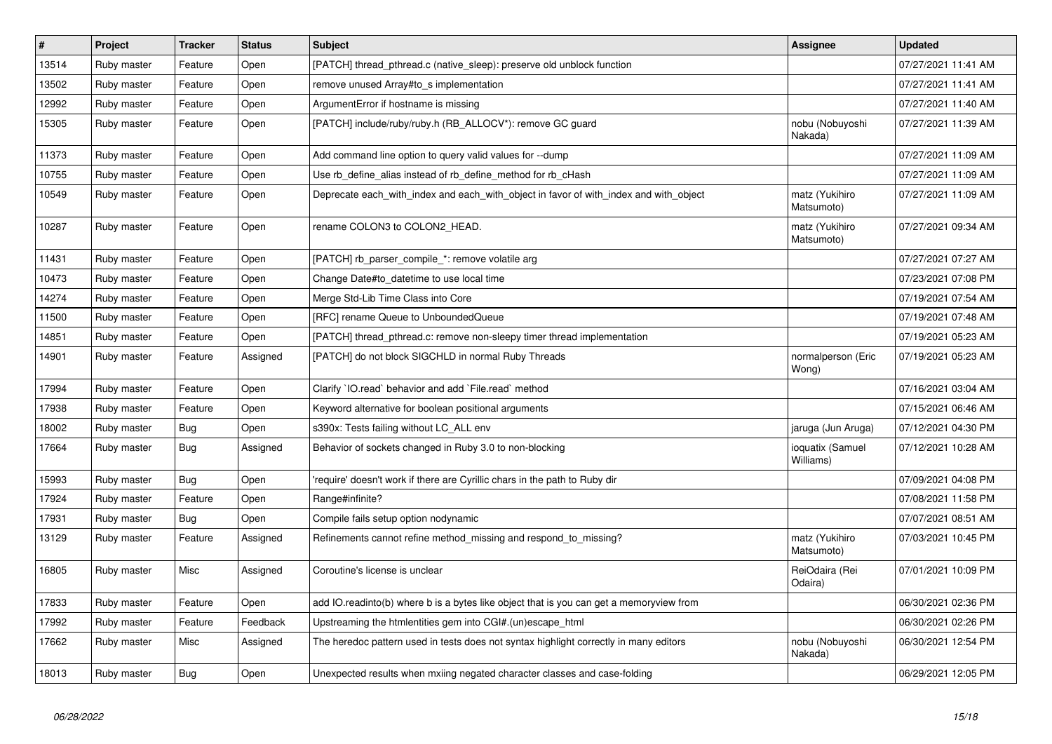| $\sharp$ | Project     | <b>Tracker</b> | <b>Status</b> | <b>Subject</b>                                                                          | <b>Assignee</b>               | <b>Updated</b>      |
|----------|-------------|----------------|---------------|-----------------------------------------------------------------------------------------|-------------------------------|---------------------|
| 13514    | Ruby master | Feature        | Open          | [PATCH] thread_pthread.c (native_sleep): preserve old unblock function                  |                               | 07/27/2021 11:41 AM |
| 13502    | Ruby master | Feature        | Open          | remove unused Array#to_s implementation                                                 |                               | 07/27/2021 11:41 AM |
| 12992    | Ruby master | Feature        | Open          | ArgumentError if hostname is missing                                                    |                               | 07/27/2021 11:40 AM |
| 15305    | Ruby master | Feature        | Open          | [PATCH] include/ruby/ruby.h (RB_ALLOCV*): remove GC guard                               | nobu (Nobuyoshi<br>Nakada)    | 07/27/2021 11:39 AM |
| 11373    | Ruby master | Feature        | Open          | Add command line option to query valid values for --dump                                |                               | 07/27/2021 11:09 AM |
| 10755    | Ruby master | Feature        | Open          | Use rb_define_alias instead of rb_define_method for rb_cHash                            |                               | 07/27/2021 11:09 AM |
| 10549    | Ruby master | Feature        | Open          | Deprecate each with index and each with object in favor of with index and with object   | matz (Yukihiro<br>Matsumoto)  | 07/27/2021 11:09 AM |
| 10287    | Ruby master | Feature        | Open          | rename COLON3 to COLON2 HEAD.                                                           | matz (Yukihiro<br>Matsumoto)  | 07/27/2021 09:34 AM |
| 11431    | Ruby master | Feature        | Open          | [PATCH] rb_parser_compile_*: remove volatile arg                                        |                               | 07/27/2021 07:27 AM |
| 10473    | Ruby master | Feature        | Open          | Change Date#to_datetime to use local time                                               |                               | 07/23/2021 07:08 PM |
| 14274    | Ruby master | Feature        | Open          | Merge Std-Lib Time Class into Core                                                      |                               | 07/19/2021 07:54 AM |
| 11500    | Ruby master | Feature        | Open          | [RFC] rename Queue to UnboundedQueue                                                    |                               | 07/19/2021 07:48 AM |
| 14851    | Ruby master | Feature        | Open          | [PATCH] thread_pthread.c: remove non-sleepy timer thread implementation                 |                               | 07/19/2021 05:23 AM |
| 14901    | Ruby master | Feature        | Assigned      | [PATCH] do not block SIGCHLD in normal Ruby Threads                                     | normalperson (Eric<br>Wong)   | 07/19/2021 05:23 AM |
| 17994    | Ruby master | Feature        | Open          | Clarify 'IO.read' behavior and add 'File.read' method                                   |                               | 07/16/2021 03:04 AM |
| 17938    | Ruby master | Feature        | Open          | Keyword alternative for boolean positional arguments                                    |                               | 07/15/2021 06:46 AM |
| 18002    | Ruby master | Bug            | Open          | s390x: Tests failing without LC ALL env                                                 | jaruga (Jun Aruga)            | 07/12/2021 04:30 PM |
| 17664    | Ruby master | Bug            | Assigned      | Behavior of sockets changed in Ruby 3.0 to non-blocking                                 | ioquatix (Samuel<br>Williams) | 07/12/2021 10:28 AM |
| 15993    | Ruby master | <b>Bug</b>     | Open          | require' doesn't work if there are Cyrillic chars in the path to Ruby dir               |                               | 07/09/2021 04:08 PM |
| 17924    | Ruby master | Feature        | Open          | Range#infinite?                                                                         |                               | 07/08/2021 11:58 PM |
| 17931    | Ruby master | <b>Bug</b>     | Open          | Compile fails setup option nodynamic                                                    |                               | 07/07/2021 08:51 AM |
| 13129    | Ruby master | Feature        | Assigned      | Refinements cannot refine method_missing and respond_to_missing?                        | matz (Yukihiro<br>Matsumoto)  | 07/03/2021 10:45 PM |
| 16805    | Ruby master | Misc           | Assigned      | Coroutine's license is unclear                                                          | ReiOdaira (Rei<br>Odaira)     | 07/01/2021 10:09 PM |
| 17833    | Ruby master | Feature        | Open          | add IO.readinto(b) where b is a bytes like object that is you can get a memoryview from |                               | 06/30/2021 02:36 PM |
| 17992    | Ruby master | Feature        | Feedback      | Upstreaming the htmlentities gem into CGI#.(un)escape_html                              |                               | 06/30/2021 02:26 PM |
| 17662    | Ruby master | Misc           | Assigned      | The heredoc pattern used in tests does not syntax highlight correctly in many editors   | nobu (Nobuyoshi<br>Nakada)    | 06/30/2021 12:54 PM |
| 18013    | Ruby master | Bug            | Open          | Unexpected results when mxiing negated character classes and case-folding               |                               | 06/29/2021 12:05 PM |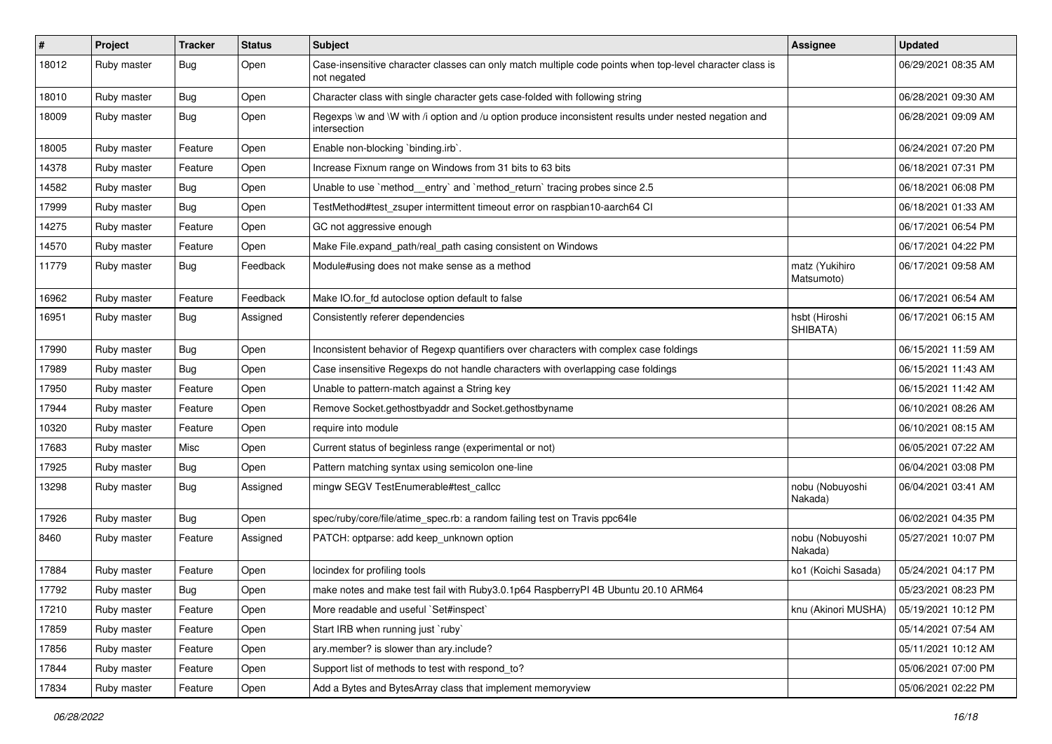| $\sharp$ | Project     | <b>Tracker</b> | <b>Status</b> | Subject                                                                                                                 | <b>Assignee</b>              | <b>Updated</b>      |
|----------|-------------|----------------|---------------|-------------------------------------------------------------------------------------------------------------------------|------------------------------|---------------------|
| 18012    | Ruby master | Bug            | Open          | Case-insensitive character classes can only match multiple code points when top-level character class is<br>not negated |                              | 06/29/2021 08:35 AM |
| 18010    | Ruby master | <b>Bug</b>     | Open          | Character class with single character gets case-folded with following string                                            |                              | 06/28/2021 09:30 AM |
| 18009    | Ruby master | Bug            | Open          | Regexps \w and \W with /i option and /u option produce inconsistent results under nested negation and<br>intersection   |                              | 06/28/2021 09:09 AM |
| 18005    | Ruby master | Feature        | Open          | Enable non-blocking `binding.irb`.                                                                                      |                              | 06/24/2021 07:20 PM |
| 14378    | Ruby master | Feature        | Open          | Increase Fixnum range on Windows from 31 bits to 63 bits                                                                |                              | 06/18/2021 07:31 PM |
| 14582    | Ruby master | <b>Bug</b>     | Open          | Unable to use `method_entry` and `method_return` tracing probes since 2.5                                               |                              | 06/18/2021 06:08 PM |
| 17999    | Ruby master | <b>Bug</b>     | Open          | TestMethod#test_zsuper intermittent timeout error on raspbian10-aarch64 CI                                              |                              | 06/18/2021 01:33 AM |
| 14275    | Ruby master | Feature        | Open          | GC not aggressive enough                                                                                                |                              | 06/17/2021 06:54 PM |
| 14570    | Ruby master | Feature        | Open          | Make File.expand path/real path casing consistent on Windows                                                            |                              | 06/17/2021 04:22 PM |
| 11779    | Ruby master | Bug            | Feedback      | Module#using does not make sense as a method                                                                            | matz (Yukihiro<br>Matsumoto) | 06/17/2021 09:58 AM |
| 16962    | Ruby master | Feature        | Feedback      | Make IO.for fd autoclose option default to false                                                                        |                              | 06/17/2021 06:54 AM |
| 16951    | Ruby master | Bug            | Assigned      | Consistently referer dependencies                                                                                       | hsbt (Hiroshi<br>SHIBATA)    | 06/17/2021 06:15 AM |
| 17990    | Ruby master | <b>Bug</b>     | Open          | Inconsistent behavior of Regexp quantifiers over characters with complex case foldings                                  |                              | 06/15/2021 11:59 AM |
| 17989    | Ruby master | <b>Bug</b>     | Open          | Case insensitive Regexps do not handle characters with overlapping case foldings                                        |                              | 06/15/2021 11:43 AM |
| 17950    | Ruby master | Feature        | Open          | Unable to pattern-match against a String key                                                                            |                              | 06/15/2021 11:42 AM |
| 17944    | Ruby master | Feature        | Open          | Remove Socket.gethostbyaddr and Socket.gethostbyname                                                                    |                              | 06/10/2021 08:26 AM |
| 10320    | Ruby master | Feature        | Open          | require into module                                                                                                     |                              | 06/10/2021 08:15 AM |
| 17683    | Ruby master | Misc           | Open          | Current status of beginless range (experimental or not)                                                                 |                              | 06/05/2021 07:22 AM |
| 17925    | Ruby master | <b>Bug</b>     | Open          | Pattern matching syntax using semicolon one-line                                                                        |                              | 06/04/2021 03:08 PM |
| 13298    | Ruby master | <b>Bug</b>     | Assigned      | mingw SEGV TestEnumerable#test_callcc                                                                                   | nobu (Nobuyoshi<br>Nakada)   | 06/04/2021 03:41 AM |
| 17926    | Ruby master | <b>Bug</b>     | Open          | spec/ruby/core/file/atime_spec.rb: a random failing test on Travis ppc64le                                              |                              | 06/02/2021 04:35 PM |
| 8460     | Ruby master | Feature        | Assigned      | PATCH: optparse: add keep_unknown option                                                                                | nobu (Nobuyoshi<br>Nakada)   | 05/27/2021 10:07 PM |
| 17884    | Ruby master | Feature        | Open          | locindex for profiling tools                                                                                            | ko1 (Koichi Sasada)          | 05/24/2021 04:17 PM |
| 17792    | Ruby master | Bug            | Open          | make notes and make test fail with Ruby3.0.1p64 RaspberryPI 4B Ubuntu 20.10 ARM64                                       |                              | 05/23/2021 08:23 PM |
| 17210    | Ruby master | Feature        | Open          | More readable and useful `Set#inspect`                                                                                  | knu (Akinori MUSHA)          | 05/19/2021 10:12 PM |
| 17859    | Ruby master | Feature        | Open          | Start IRB when running just `ruby`                                                                                      |                              | 05/14/2021 07:54 AM |
| 17856    | Ruby master | Feature        | Open          | ary.member? is slower than ary.include?                                                                                 |                              | 05/11/2021 10:12 AM |
| 17844    | Ruby master | Feature        | Open          | Support list of methods to test with respond_to?                                                                        |                              | 05/06/2021 07:00 PM |
| 17834    | Ruby master | Feature        | Open          | Add a Bytes and BytesArray class that implement memoryview                                                              |                              | 05/06/2021 02:22 PM |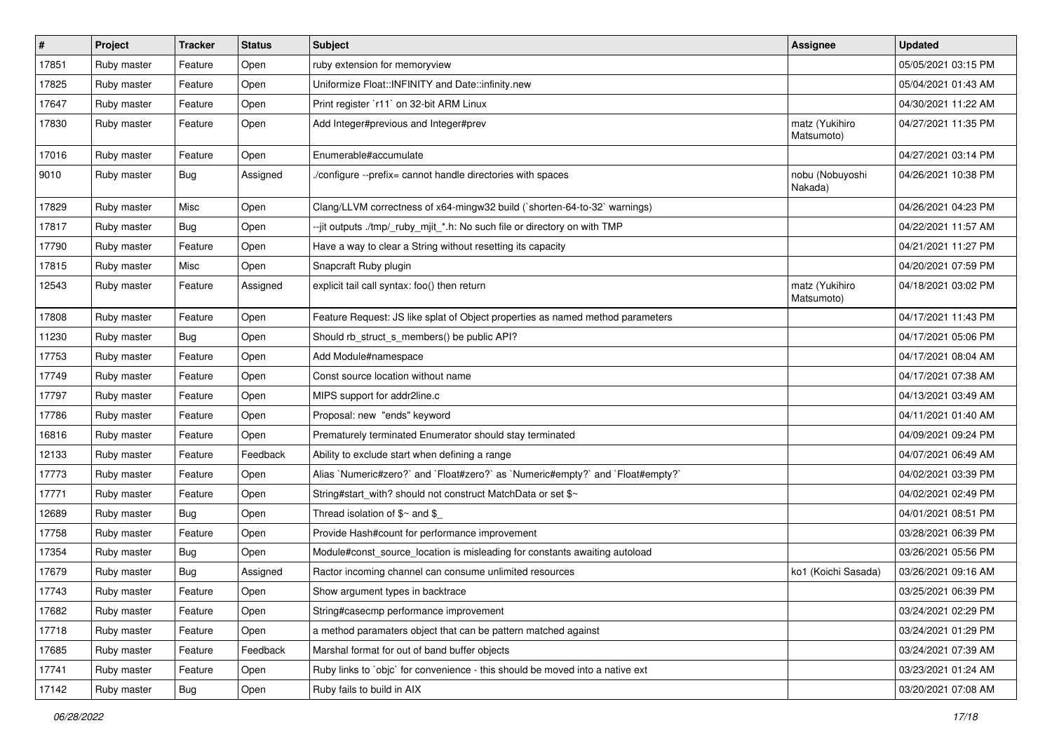| $\vert$ # | Project     | <b>Tracker</b> | <b>Status</b> | <b>Subject</b>                                                                 | <b>Assignee</b>              | <b>Updated</b>      |
|-----------|-------------|----------------|---------------|--------------------------------------------------------------------------------|------------------------------|---------------------|
| 17851     | Ruby master | Feature        | Open          | ruby extension for memoryview                                                  |                              | 05/05/2021 03:15 PM |
| 17825     | Ruby master | Feature        | Open          | Uniformize Float::INFINITY and Date::infinity.new                              |                              | 05/04/2021 01:43 AM |
| 17647     | Ruby master | Feature        | Open          | Print register `r11` on 32-bit ARM Linux                                       |                              | 04/30/2021 11:22 AM |
| 17830     | Ruby master | Feature        | Open          | Add Integer#previous and Integer#prev                                          | matz (Yukihiro<br>Matsumoto) | 04/27/2021 11:35 PM |
| 17016     | Ruby master | Feature        | Open          | Enumerable#accumulate                                                          |                              | 04/27/2021 03:14 PM |
| 9010      | Ruby master | <b>Bug</b>     | Assigned      | /configure --prefix= cannot handle directories with spaces                     | nobu (Nobuyoshi<br>Nakada)   | 04/26/2021 10:38 PM |
| 17829     | Ruby master | Misc           | Open          | Clang/LLVM correctness of x64-mingw32 build (`shorten-64-to-32` warnings)      |                              | 04/26/2021 04:23 PM |
| 17817     | Ruby master | Bug            | Open          | --jit outputs ./tmp/_ruby_mjit_*.h: No such file or directory on with TMP      |                              | 04/22/2021 11:57 AM |
| 17790     | Ruby master | Feature        | Open          | Have a way to clear a String without resetting its capacity                    |                              | 04/21/2021 11:27 PM |
| 17815     | Ruby master | Misc           | Open          | Snapcraft Ruby plugin                                                          |                              | 04/20/2021 07:59 PM |
| 12543     | Ruby master | Feature        | Assigned      | explicit tail call syntax: foo() then return                                   | matz (Yukihiro<br>Matsumoto) | 04/18/2021 03:02 PM |
| 17808     | Ruby master | Feature        | Open          | Feature Request: JS like splat of Object properties as named method parameters |                              | 04/17/2021 11:43 PM |
| 11230     | Ruby master | <b>Bug</b>     | Open          | Should rb struct s members() be public API?                                    |                              | 04/17/2021 05:06 PM |
| 17753     | Ruby master | Feature        | Open          | Add Module#namespace                                                           |                              | 04/17/2021 08:04 AM |
| 17749     | Ruby master | Feature        | Open          | Const source location without name                                             |                              | 04/17/2021 07:38 AM |
| 17797     | Ruby master | Feature        | Open          | MIPS support for addr2line.c                                                   |                              | 04/13/2021 03:49 AM |
| 17786     | Ruby master | Feature        | Open          | Proposal: new "ends" keyword                                                   |                              | 04/11/2021 01:40 AM |
| 16816     | Ruby master | Feature        | Open          | Prematurely terminated Enumerator should stay terminated                       |                              | 04/09/2021 09:24 PM |
| 12133     | Ruby master | Feature        | Feedback      | Ability to exclude start when defining a range                                 |                              | 04/07/2021 06:49 AM |
| 17773     | Ruby master | Feature        | Open          | Alias `Numeric#zero?` and `Float#zero?` as `Numeric#empty?` and `Float#empty?` |                              | 04/02/2021 03:39 PM |
| 17771     | Ruby master | Feature        | Open          | String#start_with? should not construct MatchData or set \$~                   |                              | 04/02/2021 02:49 PM |
| 12689     | Ruby master | Bug            | Open          | Thread isolation of $\gamma \sim$ and \$                                       |                              | 04/01/2021 08:51 PM |
| 17758     | Ruby master | Feature        | Open          | Provide Hash#count for performance improvement                                 |                              | 03/28/2021 06:39 PM |
| 17354     | Ruby master | Bug            | Open          | Module#const_source_location is misleading for constants awaiting autoload     |                              | 03/26/2021 05:56 PM |
| 17679     | Ruby master | <b>Bug</b>     | Assigned      | Ractor incoming channel can consume unlimited resources                        | ko1 (Koichi Sasada)          | 03/26/2021 09:16 AM |
| 17743     | Ruby master | Feature        | Open          | Show argument types in backtrace                                               |                              | 03/25/2021 06:39 PM |
| 17682     | Ruby master | Feature        | Open          | String#casecmp performance improvement                                         |                              | 03/24/2021 02:29 PM |
| 17718     | Ruby master | Feature        | Open          | a method paramaters object that can be pattern matched against                 |                              | 03/24/2021 01:29 PM |
| 17685     | Ruby master | Feature        | Feedback      | Marshal format for out of band buffer objects                                  |                              | 03/24/2021 07:39 AM |
| 17741     | Ruby master | Feature        | Open          | Ruby links to `objc` for convenience - this should be moved into a native ext  |                              | 03/23/2021 01:24 AM |
| 17142     | Ruby master | Bug            | Open          | Ruby fails to build in AIX                                                     |                              | 03/20/2021 07:08 AM |